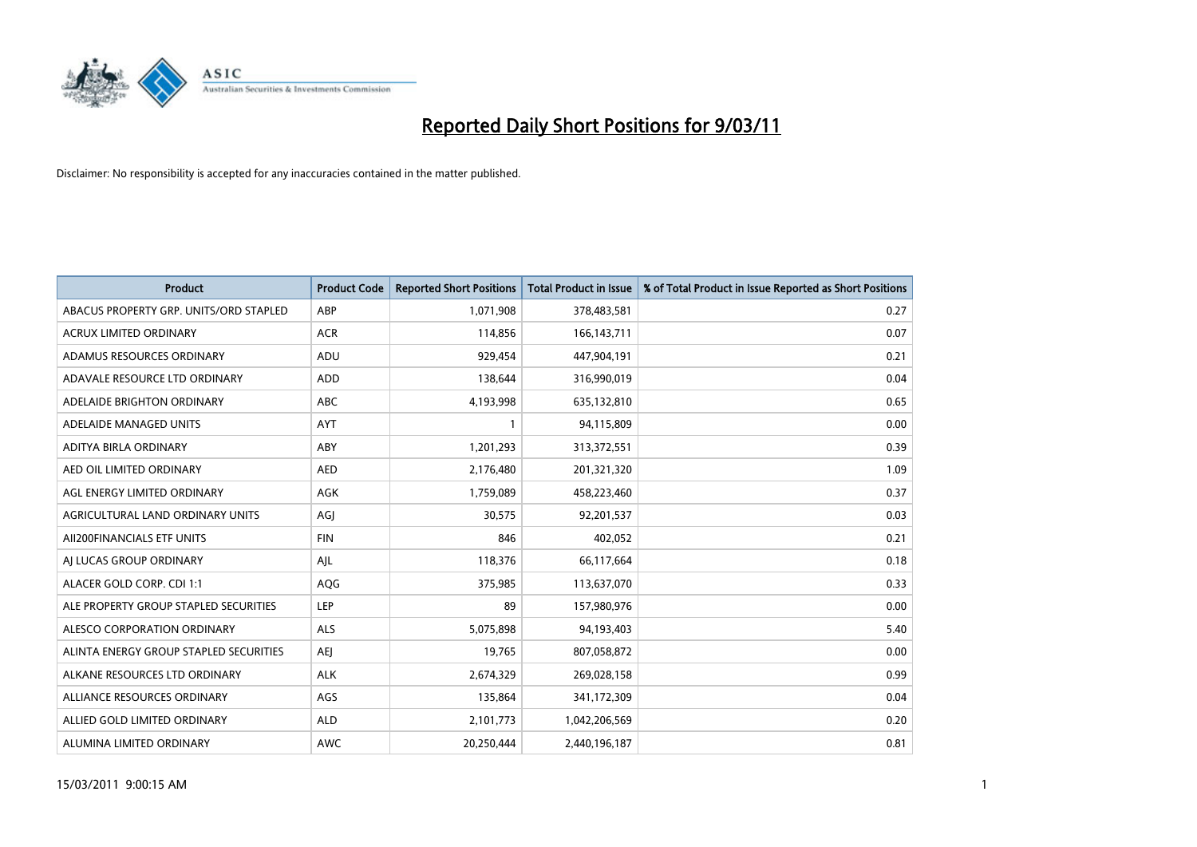

| <b>Product</b>                         | <b>Product Code</b> | <b>Reported Short Positions</b> | Total Product in Issue | % of Total Product in Issue Reported as Short Positions |
|----------------------------------------|---------------------|---------------------------------|------------------------|---------------------------------------------------------|
| ABACUS PROPERTY GRP. UNITS/ORD STAPLED | ABP                 | 1,071,908                       | 378,483,581            | 0.27                                                    |
| <b>ACRUX LIMITED ORDINARY</b>          | <b>ACR</b>          | 114,856                         | 166, 143, 711          | 0.07                                                    |
| ADAMUS RESOURCES ORDINARY              | ADU                 | 929,454                         | 447,904,191            | 0.21                                                    |
| ADAVALE RESOURCE LTD ORDINARY          | <b>ADD</b>          | 138,644                         | 316,990,019            | 0.04                                                    |
| ADELAIDE BRIGHTON ORDINARY             | <b>ABC</b>          | 4,193,998                       | 635,132,810            | 0.65                                                    |
| ADELAIDE MANAGED UNITS                 | <b>AYT</b>          |                                 | 94,115,809             | 0.00                                                    |
| ADITYA BIRLA ORDINARY                  | ABY                 | 1,201,293                       | 313,372,551            | 0.39                                                    |
| AED OIL LIMITED ORDINARY               | <b>AED</b>          | 2,176,480                       | 201,321,320            | 1.09                                                    |
| AGL ENERGY LIMITED ORDINARY            | <b>AGK</b>          | 1,759,089                       | 458,223,460            | 0.37                                                    |
| AGRICULTURAL LAND ORDINARY UNITS       | AGI                 | 30,575                          | 92,201,537             | 0.03                                                    |
| AII200FINANCIALS ETF UNITS             | <b>FIN</b>          | 846                             | 402,052                | 0.21                                                    |
| AI LUCAS GROUP ORDINARY                | AJL                 | 118,376                         | 66,117,664             | 0.18                                                    |
| ALACER GOLD CORP. CDI 1:1              | AQG                 | 375,985                         | 113,637,070            | 0.33                                                    |
| ALE PROPERTY GROUP STAPLED SECURITIES  | LEP                 | 89                              | 157,980,976            | 0.00                                                    |
| ALESCO CORPORATION ORDINARY            | ALS                 | 5,075,898                       | 94,193,403             | 5.40                                                    |
| ALINTA ENERGY GROUP STAPLED SECURITIES | <b>AEI</b>          | 19,765                          | 807,058,872            | 0.00                                                    |
| ALKANE RESOURCES LTD ORDINARY          | <b>ALK</b>          | 2,674,329                       | 269,028,158            | 0.99                                                    |
| ALLIANCE RESOURCES ORDINARY            | AGS                 | 135,864                         | 341,172,309            | 0.04                                                    |
| ALLIED GOLD LIMITED ORDINARY           | <b>ALD</b>          | 2,101,773                       | 1,042,206,569          | 0.20                                                    |
| ALUMINA LIMITED ORDINARY               | <b>AWC</b>          | 20.250.444                      | 2,440,196,187          | 0.81                                                    |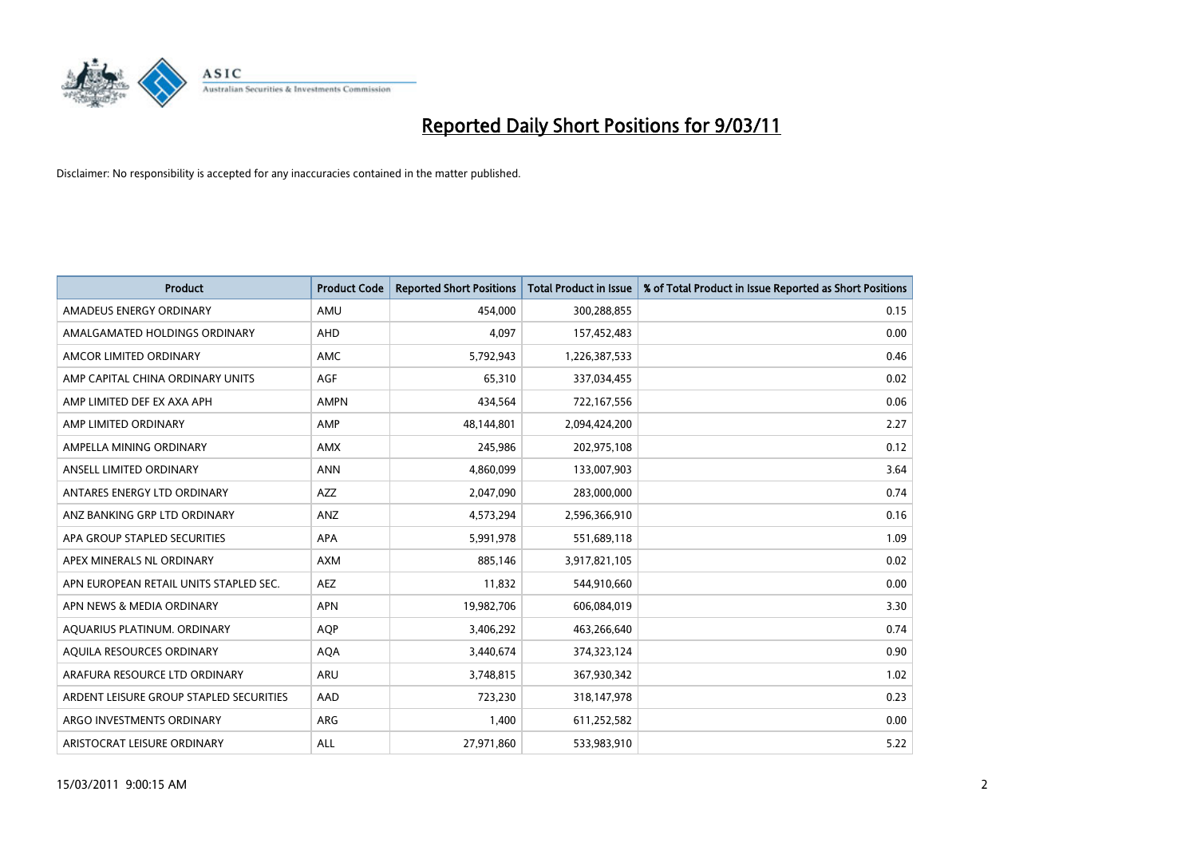

| <b>Product</b>                          | <b>Product Code</b> | <b>Reported Short Positions</b> | Total Product in Issue | % of Total Product in Issue Reported as Short Positions |
|-----------------------------------------|---------------------|---------------------------------|------------------------|---------------------------------------------------------|
| AMADEUS ENERGY ORDINARY                 | AMU                 | 454,000                         | 300,288,855            | 0.15                                                    |
| AMALGAMATED HOLDINGS ORDINARY           | <b>AHD</b>          | 4.097                           | 157,452,483            | 0.00                                                    |
| AMCOR LIMITED ORDINARY                  | <b>AMC</b>          | 5,792,943                       | 1,226,387,533          | 0.46                                                    |
| AMP CAPITAL CHINA ORDINARY UNITS        | <b>AGF</b>          | 65,310                          | 337,034,455            | 0.02                                                    |
| AMP LIMITED DEF EX AXA APH              | <b>AMPN</b>         | 434.564                         | 722,167,556            | 0.06                                                    |
| AMP LIMITED ORDINARY                    | AMP                 | 48,144,801                      | 2,094,424,200          | 2.27                                                    |
| AMPELLA MINING ORDINARY                 | <b>AMX</b>          | 245.986                         | 202,975,108            | 0.12                                                    |
| ANSELL LIMITED ORDINARY                 | <b>ANN</b>          | 4,860,099                       | 133,007,903            | 3.64                                                    |
| ANTARES ENERGY LTD ORDINARY             | <b>AZZ</b>          | 2,047,090                       | 283,000,000            | 0.74                                                    |
| ANZ BANKING GRP LTD ORDINARY            | ANZ                 | 4,573,294                       | 2,596,366,910          | 0.16                                                    |
| APA GROUP STAPLED SECURITIES            | <b>APA</b>          | 5,991,978                       | 551,689,118            | 1.09                                                    |
| APEX MINERALS NL ORDINARY               | <b>AXM</b>          | 885,146                         | 3,917,821,105          | 0.02                                                    |
| APN EUROPEAN RETAIL UNITS STAPLED SEC.  | <b>AEZ</b>          | 11.832                          | 544,910,660            | 0.00                                                    |
| APN NEWS & MEDIA ORDINARY               | <b>APN</b>          | 19,982,706                      | 606,084,019            | 3.30                                                    |
| AQUARIUS PLATINUM. ORDINARY             | <b>AOP</b>          | 3,406,292                       | 463,266,640            | 0.74                                                    |
| AQUILA RESOURCES ORDINARY               | <b>AQA</b>          | 3,440,674                       | 374,323,124            | 0.90                                                    |
| ARAFURA RESOURCE LTD ORDINARY           | <b>ARU</b>          | 3,748,815                       | 367,930,342            | 1.02                                                    |
| ARDENT LEISURE GROUP STAPLED SECURITIES | AAD                 | 723,230                         | 318,147,978            | 0.23                                                    |
| ARGO INVESTMENTS ORDINARY               | <b>ARG</b>          | 1,400                           | 611,252,582            | 0.00                                                    |
| ARISTOCRAT LEISURE ORDINARY             | <b>ALL</b>          | 27,971,860                      | 533,983,910            | 5.22                                                    |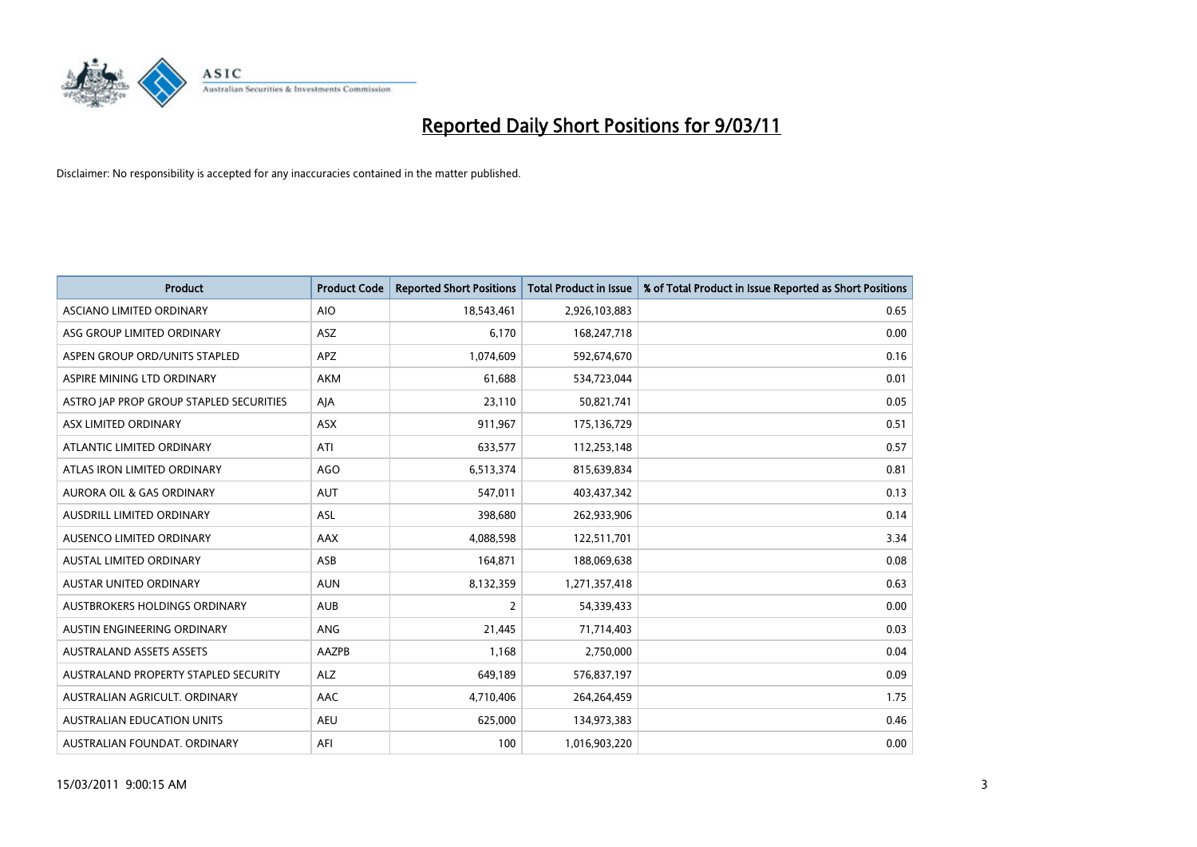

| <b>Product</b>                          | <b>Product Code</b> | <b>Reported Short Positions</b> | <b>Total Product in Issue</b> | % of Total Product in Issue Reported as Short Positions |
|-----------------------------------------|---------------------|---------------------------------|-------------------------------|---------------------------------------------------------|
| ASCIANO LIMITED ORDINARY                | <b>AIO</b>          | 18,543,461                      | 2,926,103,883                 | 0.65                                                    |
| ASG GROUP LIMITED ORDINARY              | <b>ASZ</b>          | 6,170                           | 168,247,718                   | 0.00                                                    |
| ASPEN GROUP ORD/UNITS STAPLED           | <b>APZ</b>          | 1,074,609                       | 592,674,670                   | 0.16                                                    |
| ASPIRE MINING LTD ORDINARY              | AKM                 | 61,688                          | 534,723,044                   | 0.01                                                    |
| ASTRO JAP PROP GROUP STAPLED SECURITIES | AJA                 | 23,110                          | 50,821,741                    | 0.05                                                    |
| ASX LIMITED ORDINARY                    | <b>ASX</b>          | 911,967                         | 175,136,729                   | 0.51                                                    |
| ATLANTIC LIMITED ORDINARY               | ATI                 | 633,577                         | 112,253,148                   | 0.57                                                    |
| ATLAS IRON LIMITED ORDINARY             | AGO                 | 6,513,374                       | 815,639,834                   | 0.81                                                    |
| AURORA OIL & GAS ORDINARY               | <b>AUT</b>          | 547,011                         | 403,437,342                   | 0.13                                                    |
| AUSDRILL LIMITED ORDINARY               | <b>ASL</b>          | 398,680                         | 262,933,906                   | 0.14                                                    |
| AUSENCO LIMITED ORDINARY                | AAX                 | 4,088,598                       | 122,511,701                   | 3.34                                                    |
| <b>AUSTAL LIMITED ORDINARY</b>          | ASB                 | 164,871                         | 188,069,638                   | 0.08                                                    |
| <b>AUSTAR UNITED ORDINARY</b>           | <b>AUN</b>          | 8,132,359                       | 1,271,357,418                 | 0.63                                                    |
| AUSTBROKERS HOLDINGS ORDINARY           | <b>AUB</b>          | 2                               | 54,339,433                    | 0.00                                                    |
| AUSTIN ENGINEERING ORDINARY             | ANG                 | 21,445                          | 71,714,403                    | 0.03                                                    |
| <b>AUSTRALAND ASSETS ASSETS</b>         | <b>AAZPB</b>        | 1.168                           | 2,750,000                     | 0.04                                                    |
| AUSTRALAND PROPERTY STAPLED SECURITY    | <b>ALZ</b>          | 649,189                         | 576,837,197                   | 0.09                                                    |
| AUSTRALIAN AGRICULT. ORDINARY           | AAC                 | 4,710,406                       | 264,264,459                   | 1.75                                                    |
| <b>AUSTRALIAN EDUCATION UNITS</b>       | <b>AEU</b>          | 625,000                         | 134,973,383                   | 0.46                                                    |
| AUSTRALIAN FOUNDAT. ORDINARY            | AFI                 | 100                             | 1,016,903,220                 | 0.00                                                    |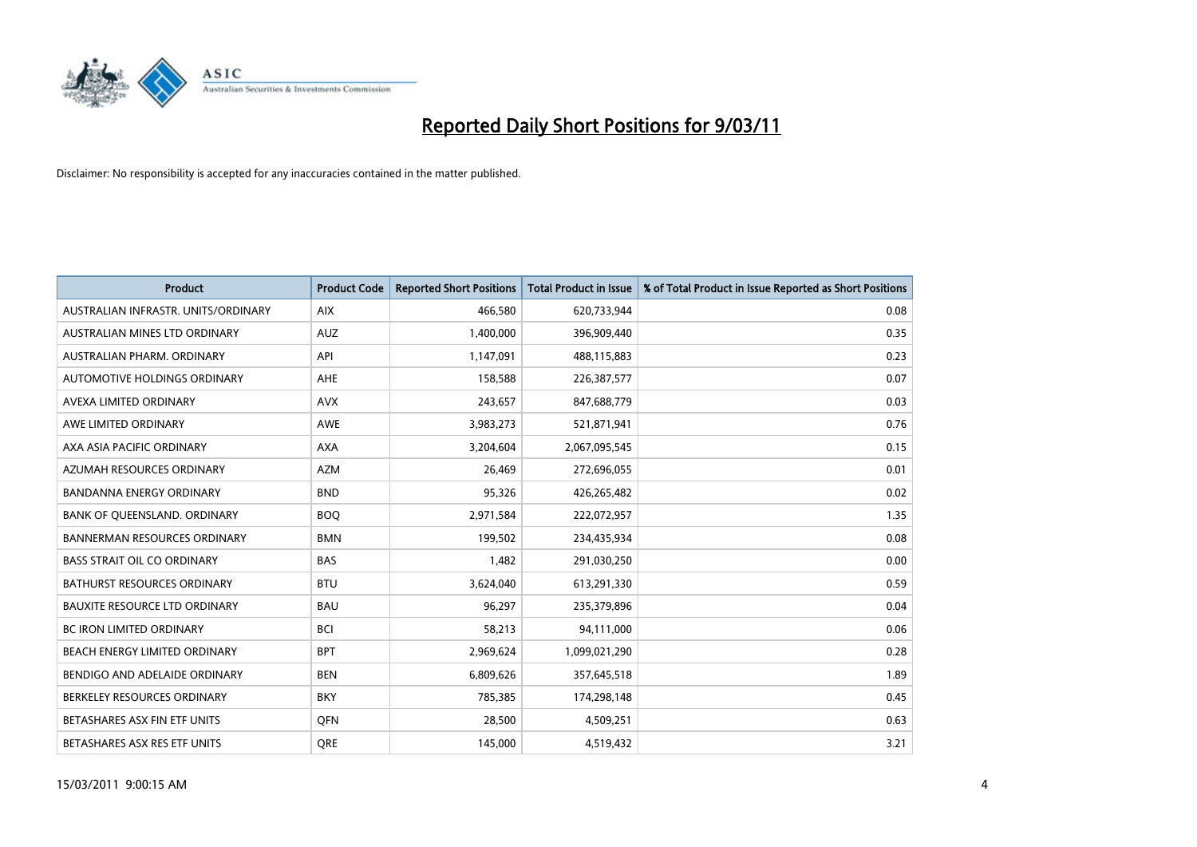

| Product                              | <b>Product Code</b> | <b>Reported Short Positions</b> | <b>Total Product in Issue</b> | % of Total Product in Issue Reported as Short Positions |
|--------------------------------------|---------------------|---------------------------------|-------------------------------|---------------------------------------------------------|
| AUSTRALIAN INFRASTR. UNITS/ORDINARY  | <b>AIX</b>          | 466,580                         | 620,733,944                   | 0.08                                                    |
| AUSTRALIAN MINES LTD ORDINARY        | <b>AUZ</b>          | 1,400,000                       | 396,909,440                   | 0.35                                                    |
| AUSTRALIAN PHARM, ORDINARY           | API                 | 1,147,091                       | 488,115,883                   | 0.23                                                    |
| AUTOMOTIVE HOLDINGS ORDINARY         | AHE                 | 158,588                         | 226,387,577                   | 0.07                                                    |
| AVEXA LIMITED ORDINARY               | <b>AVX</b>          | 243,657                         | 847,688,779                   | 0.03                                                    |
| AWE LIMITED ORDINARY                 | <b>AWE</b>          | 3,983,273                       | 521,871,941                   | 0.76                                                    |
| AXA ASIA PACIFIC ORDINARY            | <b>AXA</b>          | 3,204,604                       | 2,067,095,545                 | 0.15                                                    |
| AZUMAH RESOURCES ORDINARY            | <b>AZM</b>          | 26,469                          | 272,696,055                   | 0.01                                                    |
| <b>BANDANNA ENERGY ORDINARY</b>      | <b>BND</b>          | 95,326                          | 426,265,482                   | 0.02                                                    |
| BANK OF OUEENSLAND, ORDINARY         | <b>BOQ</b>          | 2,971,584                       | 222,072,957                   | 1.35                                                    |
| <b>BANNERMAN RESOURCES ORDINARY</b>  | <b>BMN</b>          | 199,502                         | 234,435,934                   | 0.08                                                    |
| <b>BASS STRAIT OIL CO ORDINARY</b>   | <b>BAS</b>          | 1,482                           | 291,030,250                   | 0.00                                                    |
| <b>BATHURST RESOURCES ORDINARY</b>   | <b>BTU</b>          | 3,624,040                       | 613,291,330                   | 0.59                                                    |
| <b>BAUXITE RESOURCE LTD ORDINARY</b> | <b>BAU</b>          | 96,297                          | 235,379,896                   | 0.04                                                    |
| <b>BC IRON LIMITED ORDINARY</b>      | <b>BCI</b>          | 58,213                          | 94,111,000                    | 0.06                                                    |
| BEACH ENERGY LIMITED ORDINARY        | <b>BPT</b>          | 2,969,624                       | 1,099,021,290                 | 0.28                                                    |
| BENDIGO AND ADELAIDE ORDINARY        | <b>BEN</b>          | 6,809,626                       | 357,645,518                   | 1.89                                                    |
| BERKELEY RESOURCES ORDINARY          | <b>BKY</b>          | 785,385                         | 174,298,148                   | 0.45                                                    |
| BETASHARES ASX FIN ETF UNITS         | <b>OFN</b>          | 28,500                          | 4,509,251                     | 0.63                                                    |
| BETASHARES ASX RES ETF UNITS         | <b>ORE</b>          | 145.000                         | 4,519,432                     | 3.21                                                    |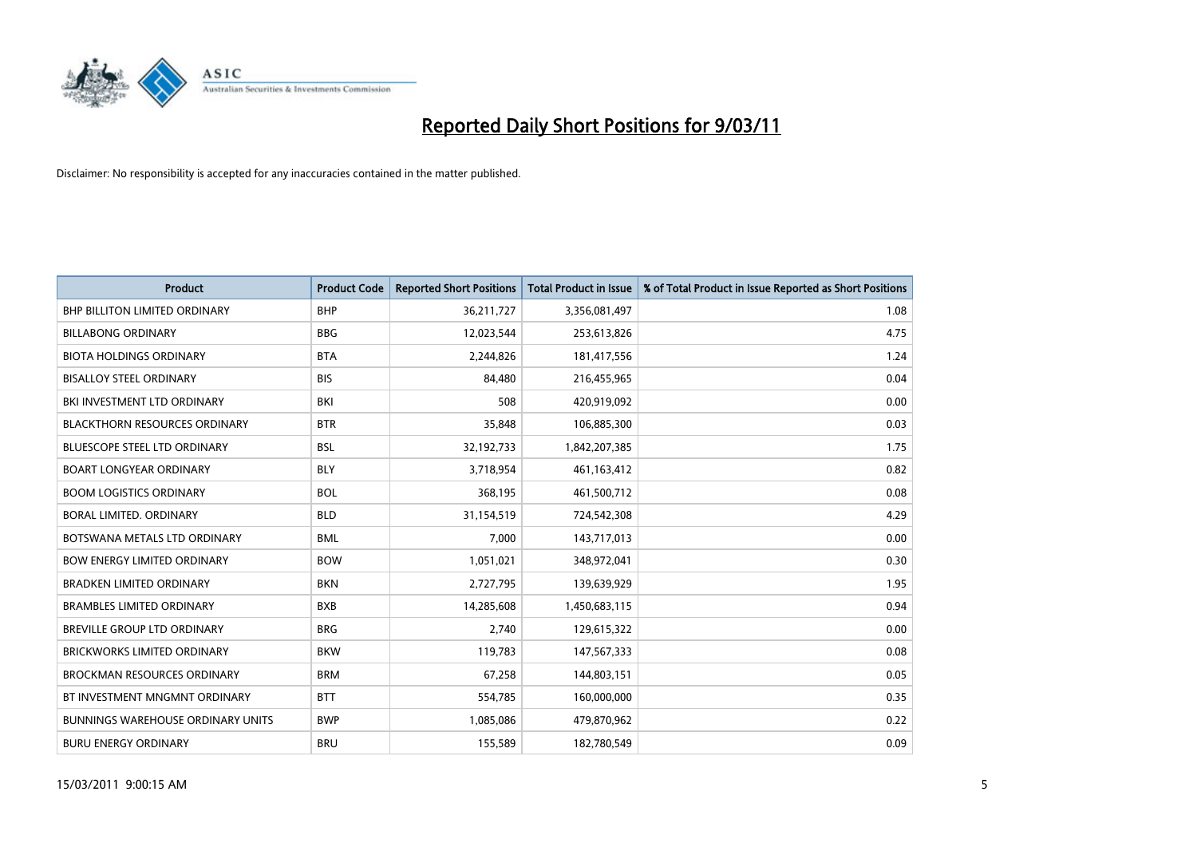

| Product                                  | <b>Product Code</b> | <b>Reported Short Positions</b> | <b>Total Product in Issue</b> | % of Total Product in Issue Reported as Short Positions |
|------------------------------------------|---------------------|---------------------------------|-------------------------------|---------------------------------------------------------|
| <b>BHP BILLITON LIMITED ORDINARY</b>     | <b>BHP</b>          | 36,211,727                      | 3,356,081,497                 | 1.08                                                    |
| <b>BILLABONG ORDINARY</b>                | <b>BBG</b>          | 12,023,544                      | 253,613,826                   | 4.75                                                    |
| <b>BIOTA HOLDINGS ORDINARY</b>           | <b>BTA</b>          | 2,244,826                       | 181,417,556                   | 1.24                                                    |
| <b>BISALLOY STEEL ORDINARY</b>           | <b>BIS</b>          | 84,480                          | 216,455,965                   | 0.04                                                    |
| BKI INVESTMENT LTD ORDINARY              | BKI                 | 508                             | 420,919,092                   | 0.00                                                    |
| <b>BLACKTHORN RESOURCES ORDINARY</b>     | <b>BTR</b>          | 35,848                          | 106,885,300                   | 0.03                                                    |
| <b>BLUESCOPE STEEL LTD ORDINARY</b>      | <b>BSL</b>          | 32,192,733                      | 1,842,207,385                 | 1.75                                                    |
| <b>BOART LONGYEAR ORDINARY</b>           | <b>BLY</b>          | 3,718,954                       | 461,163,412                   | 0.82                                                    |
| <b>BOOM LOGISTICS ORDINARY</b>           | <b>BOL</b>          | 368,195                         | 461,500,712                   | 0.08                                                    |
| <b>BORAL LIMITED, ORDINARY</b>           | <b>BLD</b>          | 31,154,519                      | 724,542,308                   | 4.29                                                    |
| BOTSWANA METALS LTD ORDINARY             | <b>BML</b>          | 7,000                           | 143,717,013                   | 0.00                                                    |
| <b>BOW ENERGY LIMITED ORDINARY</b>       | <b>BOW</b>          | 1,051,021                       | 348,972,041                   | 0.30                                                    |
| <b>BRADKEN LIMITED ORDINARY</b>          | <b>BKN</b>          | 2,727,795                       | 139,639,929                   | 1.95                                                    |
| <b>BRAMBLES LIMITED ORDINARY</b>         | <b>BXB</b>          | 14,285,608                      | 1,450,683,115                 | 0.94                                                    |
| BREVILLE GROUP LTD ORDINARY              | <b>BRG</b>          | 2,740                           | 129,615,322                   | 0.00                                                    |
| <b>BRICKWORKS LIMITED ORDINARY</b>       | <b>BKW</b>          | 119,783                         | 147,567,333                   | 0.08                                                    |
| <b>BROCKMAN RESOURCES ORDINARY</b>       | <b>BRM</b>          | 67,258                          | 144,803,151                   | 0.05                                                    |
| BT INVESTMENT MNGMNT ORDINARY            | <b>BTT</b>          | 554,785                         | 160,000,000                   | 0.35                                                    |
| <b>BUNNINGS WAREHOUSE ORDINARY UNITS</b> | <b>BWP</b>          | 1,085,086                       | 479,870,962                   | 0.22                                                    |
| <b>BURU ENERGY ORDINARY</b>              | <b>BRU</b>          | 155,589                         | 182,780,549                   | 0.09                                                    |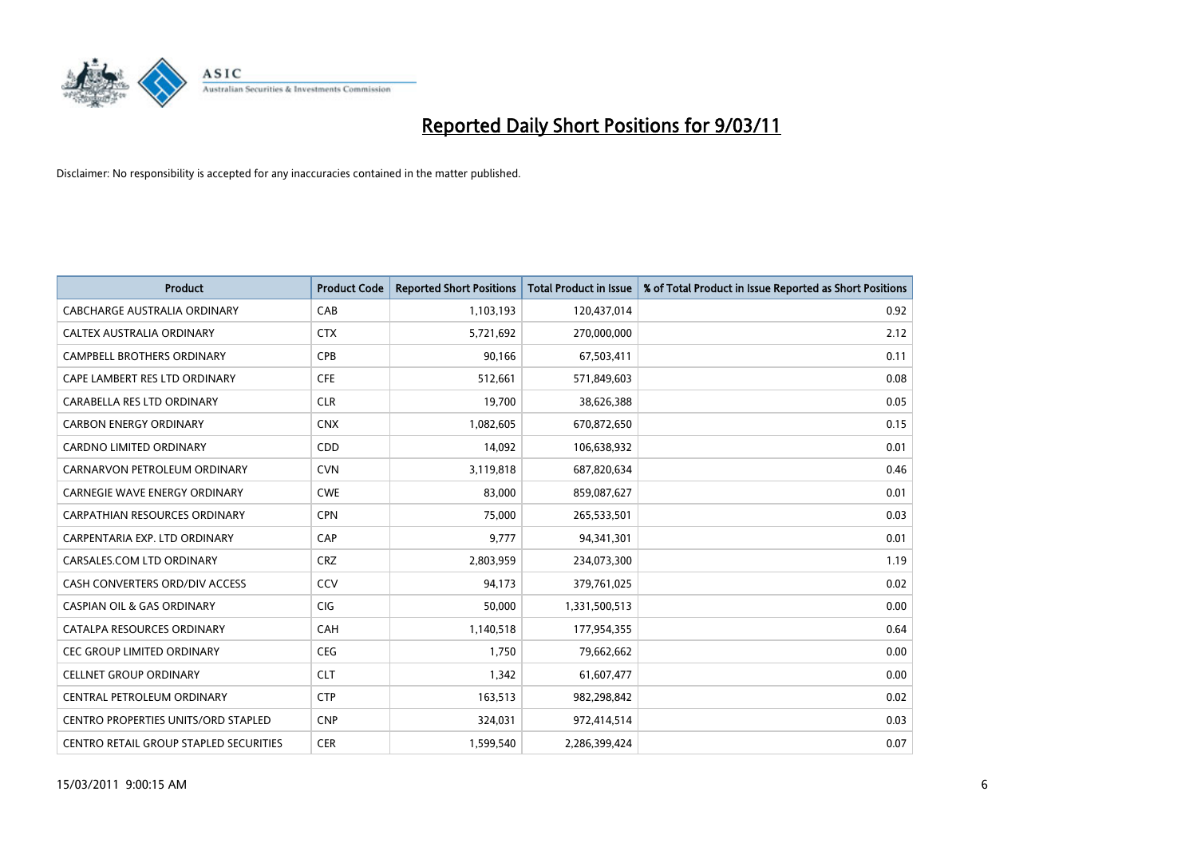

| <b>Product</b>                                | <b>Product Code</b> | <b>Reported Short Positions</b> | Total Product in Issue | % of Total Product in Issue Reported as Short Positions |
|-----------------------------------------------|---------------------|---------------------------------|------------------------|---------------------------------------------------------|
| CABCHARGE AUSTRALIA ORDINARY                  | CAB                 | 1,103,193                       | 120,437,014            | 0.92                                                    |
| CALTEX AUSTRALIA ORDINARY                     | <b>CTX</b>          | 5,721,692                       | 270,000,000            | 2.12                                                    |
| <b>CAMPBELL BROTHERS ORDINARY</b>             | CPB                 | 90,166                          | 67,503,411             | 0.11                                                    |
| CAPE LAMBERT RES LTD ORDINARY                 | <b>CFE</b>          | 512,661                         | 571,849,603            | 0.08                                                    |
| CARABELLA RES LTD ORDINARY                    | <b>CLR</b>          | 19.700                          | 38,626,388             | 0.05                                                    |
| <b>CARBON ENERGY ORDINARY</b>                 | <b>CNX</b>          | 1,082,605                       | 670,872,650            | 0.15                                                    |
| <b>CARDNO LIMITED ORDINARY</b>                | CDD                 | 14,092                          | 106,638,932            | 0.01                                                    |
| CARNARVON PETROLEUM ORDINARY                  | <b>CVN</b>          | 3,119,818                       | 687,820,634            | 0.46                                                    |
| CARNEGIE WAVE ENERGY ORDINARY                 | <b>CWE</b>          | 83,000                          | 859,087,627            | 0.01                                                    |
| <b>CARPATHIAN RESOURCES ORDINARY</b>          | <b>CPN</b>          | 75.000                          | 265,533,501            | 0.03                                                    |
| CARPENTARIA EXP. LTD ORDINARY                 | CAP                 | 9,777                           | 94,341,301             | 0.01                                                    |
| CARSALES.COM LTD ORDINARY                     | <b>CRZ</b>          | 2,803,959                       | 234,073,300            | 1.19                                                    |
| CASH CONVERTERS ORD/DIV ACCESS                | CCV                 | 94.173                          | 379,761,025            | 0.02                                                    |
| <b>CASPIAN OIL &amp; GAS ORDINARY</b>         | <b>CIG</b>          | 50.000                          | 1,331,500,513          | 0.00                                                    |
| CATALPA RESOURCES ORDINARY                    | CAH                 | 1,140,518                       | 177,954,355            | 0.64                                                    |
| <b>CEC GROUP LIMITED ORDINARY</b>             | <b>CEG</b>          | 1,750                           | 79,662,662             | 0.00                                                    |
| <b>CELLNET GROUP ORDINARY</b>                 | <b>CLT</b>          | 1,342                           | 61,607,477             | 0.00                                                    |
| CENTRAL PETROLEUM ORDINARY                    | <b>CTP</b>          | 163,513                         | 982,298,842            | 0.02                                                    |
| <b>CENTRO PROPERTIES UNITS/ORD STAPLED</b>    | <b>CNP</b>          | 324,031                         | 972,414,514            | 0.03                                                    |
| <b>CENTRO RETAIL GROUP STAPLED SECURITIES</b> | <b>CER</b>          | 1.599.540                       | 2,286,399,424          | 0.07                                                    |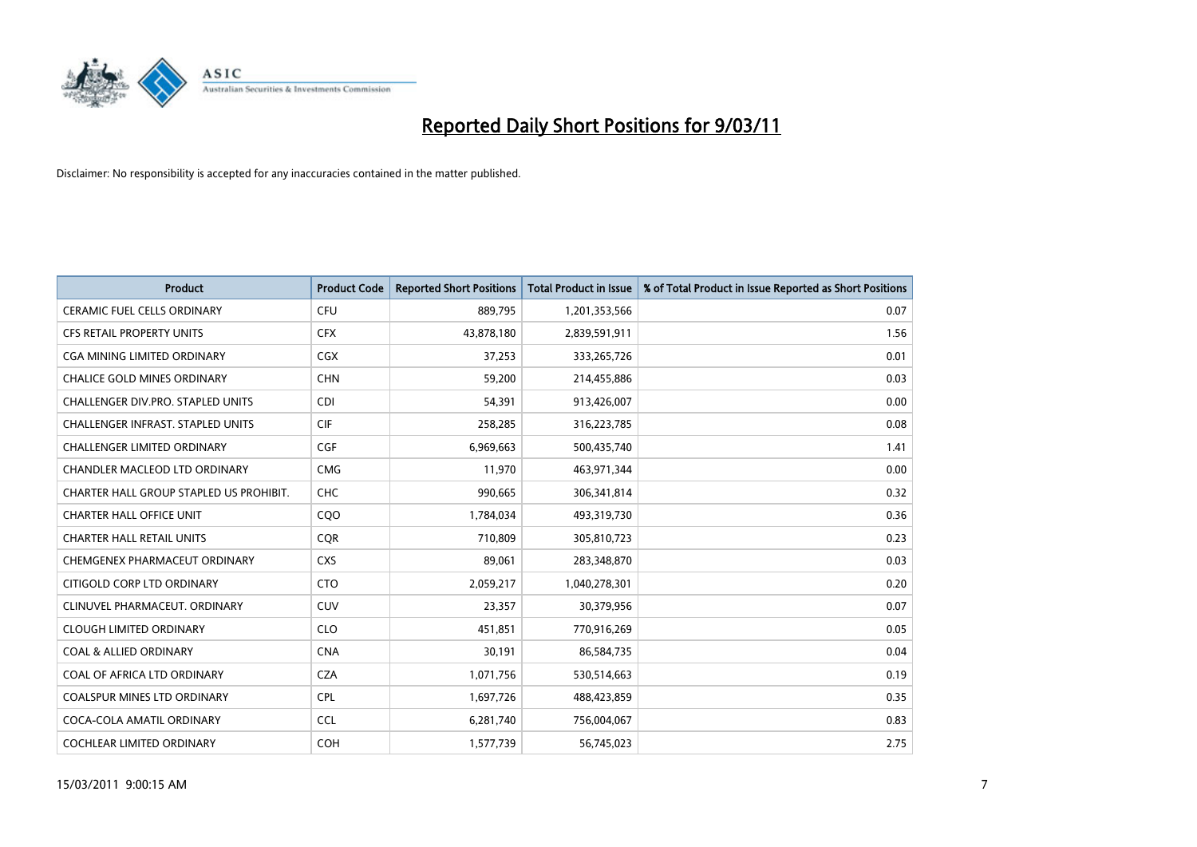

| <b>Product</b>                           | <b>Product Code</b> | <b>Reported Short Positions</b> | <b>Total Product in Issue</b> | % of Total Product in Issue Reported as Short Positions |
|------------------------------------------|---------------------|---------------------------------|-------------------------------|---------------------------------------------------------|
| <b>CERAMIC FUEL CELLS ORDINARY</b>       | <b>CFU</b>          | 889,795                         | 1,201,353,566                 | 0.07                                                    |
| CFS RETAIL PROPERTY UNITS                | <b>CFX</b>          | 43,878,180                      | 2,839,591,911                 | 1.56                                                    |
| CGA MINING LIMITED ORDINARY              | <b>CGX</b>          | 37,253                          | 333,265,726                   | 0.01                                                    |
| CHALICE GOLD MINES ORDINARY              | <b>CHN</b>          | 59,200                          | 214,455,886                   | 0.03                                                    |
| CHALLENGER DIV.PRO. STAPLED UNITS        | <b>CDI</b>          | 54,391                          | 913,426,007                   | 0.00                                                    |
| <b>CHALLENGER INFRAST, STAPLED UNITS</b> | <b>CIF</b>          | 258,285                         | 316,223,785                   | 0.08                                                    |
| <b>CHALLENGER LIMITED ORDINARY</b>       | <b>CGF</b>          | 6,969,663                       | 500,435,740                   | 1.41                                                    |
| CHANDLER MACLEOD LTD ORDINARY            | <b>CMG</b>          | 11,970                          | 463,971,344                   | 0.00                                                    |
| CHARTER HALL GROUP STAPLED US PROHIBIT.  | <b>CHC</b>          | 990,665                         | 306,341,814                   | 0.32                                                    |
| <b>CHARTER HALL OFFICE UNIT</b>          | CQ <sub>O</sub>     | 1,784,034                       | 493,319,730                   | 0.36                                                    |
| <b>CHARTER HALL RETAIL UNITS</b>         | <b>CQR</b>          | 710,809                         | 305,810,723                   | 0.23                                                    |
| CHEMGENEX PHARMACEUT ORDINARY            | <b>CXS</b>          | 89,061                          | 283,348,870                   | 0.03                                                    |
| CITIGOLD CORP LTD ORDINARY               | <b>CTO</b>          | 2,059,217                       | 1,040,278,301                 | 0.20                                                    |
| CLINUVEL PHARMACEUT, ORDINARY            | <b>CUV</b>          | 23,357                          | 30,379,956                    | 0.07                                                    |
| <b>CLOUGH LIMITED ORDINARY</b>           | <b>CLO</b>          | 451,851                         | 770,916,269                   | 0.05                                                    |
| <b>COAL &amp; ALLIED ORDINARY</b>        | <b>CNA</b>          | 30,191                          | 86,584,735                    | 0.04                                                    |
| COAL OF AFRICA LTD ORDINARY              | <b>CZA</b>          | 1,071,756                       | 530,514,663                   | 0.19                                                    |
| COALSPUR MINES LTD ORDINARY              | <b>CPL</b>          | 1,697,726                       | 488,423,859                   | 0.35                                                    |
| COCA-COLA AMATIL ORDINARY                | <b>CCL</b>          | 6,281,740                       | 756,004,067                   | 0.83                                                    |
| COCHLEAR LIMITED ORDINARY                | <b>COH</b>          | 1,577,739                       | 56,745,023                    | 2.75                                                    |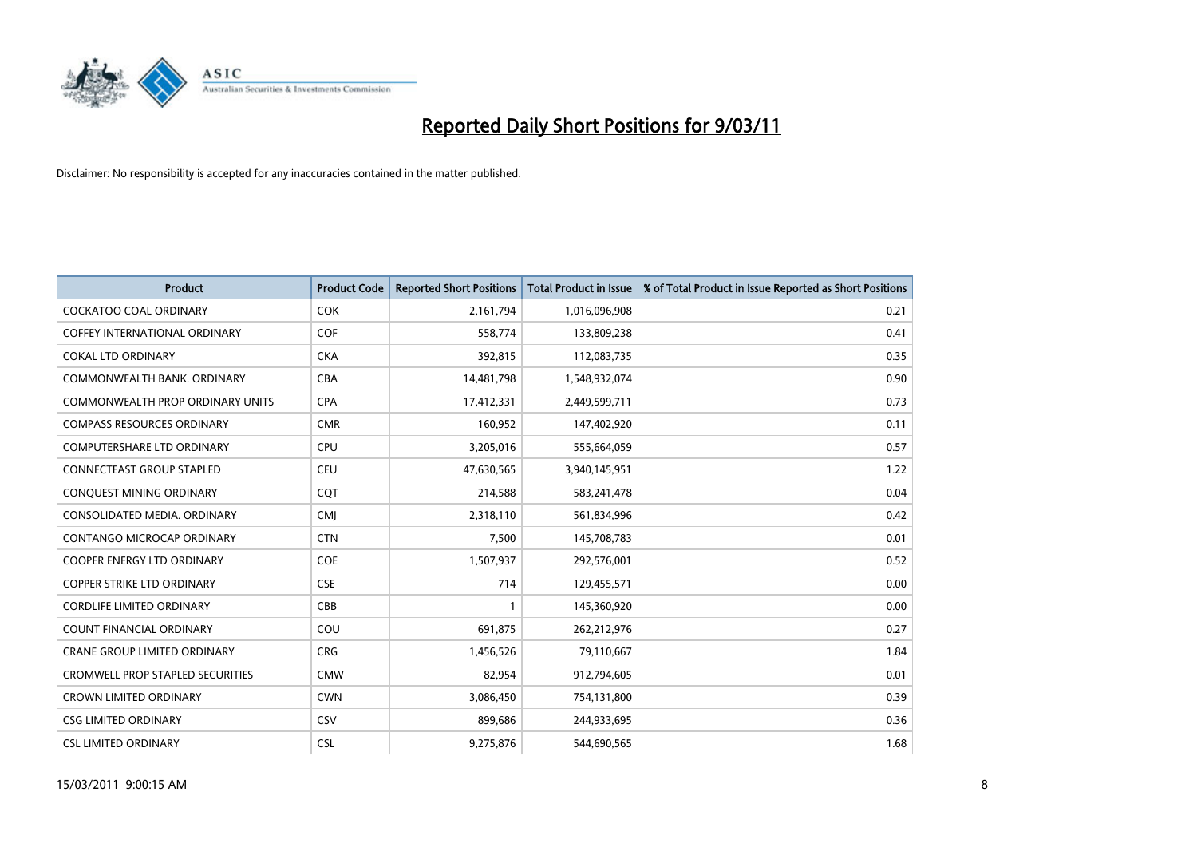

| <b>Product</b>                          | <b>Product Code</b> | <b>Reported Short Positions</b> | Total Product in Issue | % of Total Product in Issue Reported as Short Positions |
|-----------------------------------------|---------------------|---------------------------------|------------------------|---------------------------------------------------------|
| <b>COCKATOO COAL ORDINARY</b>           | <b>COK</b>          | 2,161,794                       | 1,016,096,908          | 0.21                                                    |
| COFFEY INTERNATIONAL ORDINARY           | <b>COF</b>          | 558,774                         | 133,809,238            | 0.41                                                    |
| <b>COKAL LTD ORDINARY</b>               | <b>CKA</b>          | 392,815                         | 112,083,735            | 0.35                                                    |
| COMMONWEALTH BANK, ORDINARY             | <b>CBA</b>          | 14,481,798                      | 1,548,932,074          | 0.90                                                    |
| <b>COMMONWEALTH PROP ORDINARY UNITS</b> | <b>CPA</b>          | 17,412,331                      | 2,449,599,711          | 0.73                                                    |
| <b>COMPASS RESOURCES ORDINARY</b>       | <b>CMR</b>          | 160,952                         | 147,402,920            | 0.11                                                    |
| <b>COMPUTERSHARE LTD ORDINARY</b>       | <b>CPU</b>          | 3,205,016                       | 555,664,059            | 0.57                                                    |
| CONNECTEAST GROUP STAPLED               | <b>CEU</b>          | 47,630,565                      | 3,940,145,951          | 1.22                                                    |
| CONQUEST MINING ORDINARY                | <b>COT</b>          | 214,588                         | 583,241,478            | 0.04                                                    |
| CONSOLIDATED MEDIA, ORDINARY            | <b>CMI</b>          | 2,318,110                       | 561,834,996            | 0.42                                                    |
| CONTANGO MICROCAP ORDINARY              | <b>CTN</b>          | 7,500                           | 145,708,783            | 0.01                                                    |
| <b>COOPER ENERGY LTD ORDINARY</b>       | <b>COE</b>          | 1,507,937                       | 292,576,001            | 0.52                                                    |
| <b>COPPER STRIKE LTD ORDINARY</b>       | <b>CSE</b>          | 714                             | 129,455,571            | 0.00                                                    |
| <b>CORDLIFE LIMITED ORDINARY</b>        | CBB                 |                                 | 145,360,920            | 0.00                                                    |
| <b>COUNT FINANCIAL ORDINARY</b>         | COU                 | 691,875                         | 262,212,976            | 0.27                                                    |
| <b>CRANE GROUP LIMITED ORDINARY</b>     | <b>CRG</b>          | 1,456,526                       | 79,110,667             | 1.84                                                    |
| <b>CROMWELL PROP STAPLED SECURITIES</b> | <b>CMW</b>          | 82,954                          | 912,794,605            | 0.01                                                    |
| <b>CROWN LIMITED ORDINARY</b>           | <b>CWN</b>          | 3,086,450                       | 754,131,800            | 0.39                                                    |
| <b>CSG LIMITED ORDINARY</b>             | CSV                 | 899,686                         | 244,933,695            | 0.36                                                    |
| <b>CSL LIMITED ORDINARY</b>             | <b>CSL</b>          | 9,275,876                       | 544,690,565            | 1.68                                                    |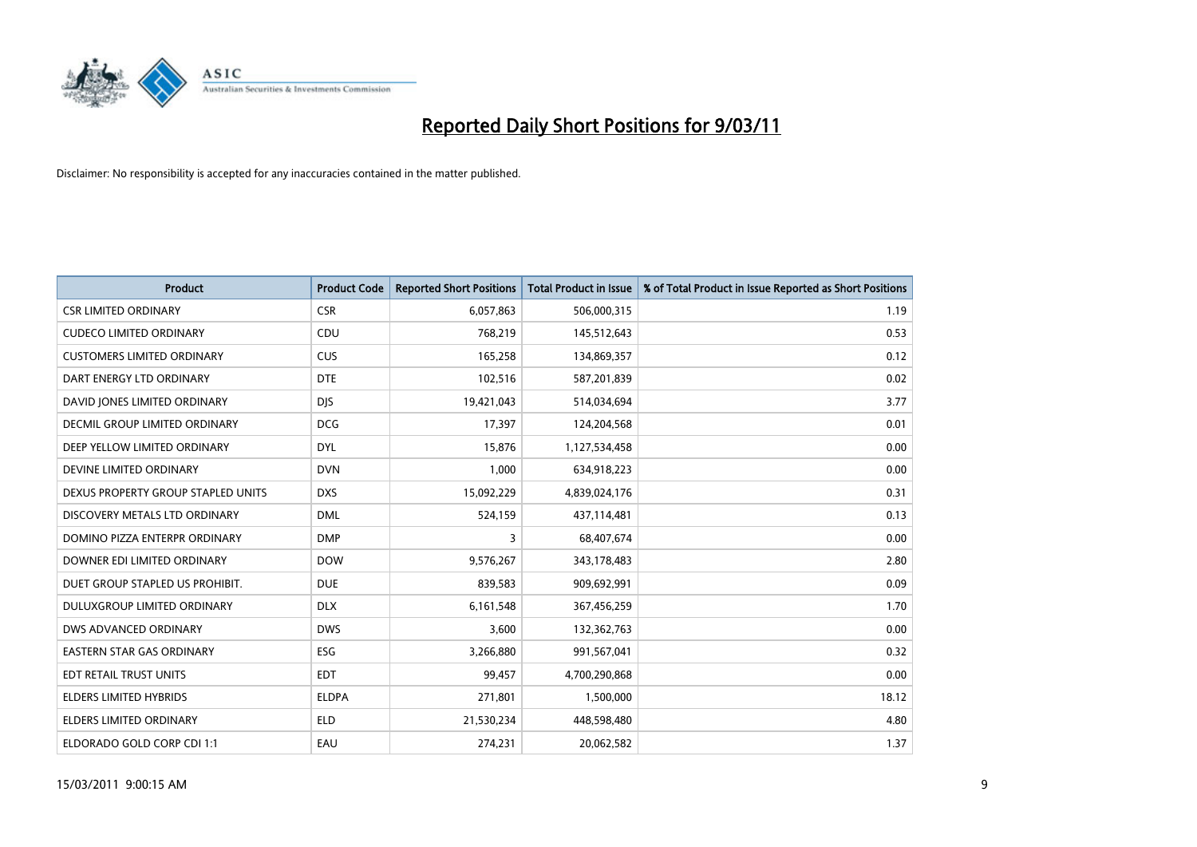

| <b>Product</b>                     | <b>Product Code</b> | <b>Reported Short Positions</b> | Total Product in Issue | % of Total Product in Issue Reported as Short Positions |
|------------------------------------|---------------------|---------------------------------|------------------------|---------------------------------------------------------|
| <b>CSR LIMITED ORDINARY</b>        | <b>CSR</b>          | 6,057,863                       | 506,000,315            | 1.19                                                    |
| <b>CUDECO LIMITED ORDINARY</b>     | CDU                 | 768,219                         | 145,512,643            | 0.53                                                    |
| <b>CUSTOMERS LIMITED ORDINARY</b>  | <b>CUS</b>          | 165,258                         | 134,869,357            | 0.12                                                    |
| DART ENERGY LTD ORDINARY           | <b>DTE</b>          | 102,516                         | 587,201,839            | 0.02                                                    |
| DAVID JONES LIMITED ORDINARY       | <b>DIS</b>          | 19,421,043                      | 514,034,694            | 3.77                                                    |
| DECMIL GROUP LIMITED ORDINARY      | <b>DCG</b>          | 17,397                          | 124,204,568            | 0.01                                                    |
| DEEP YELLOW LIMITED ORDINARY       | <b>DYL</b>          | 15,876                          | 1,127,534,458          | 0.00                                                    |
| DEVINE LIMITED ORDINARY            | <b>DVN</b>          | 1,000                           | 634,918,223            | 0.00                                                    |
| DEXUS PROPERTY GROUP STAPLED UNITS | <b>DXS</b>          | 15,092,229                      | 4,839,024,176          | 0.31                                                    |
| DISCOVERY METALS LTD ORDINARY      | <b>DML</b>          | 524,159                         | 437,114,481            | 0.13                                                    |
| DOMINO PIZZA ENTERPR ORDINARY      | <b>DMP</b>          | 3                               | 68,407,674             | 0.00                                                    |
| DOWNER EDI LIMITED ORDINARY        | <b>DOW</b>          | 9,576,267                       | 343,178,483            | 2.80                                                    |
| DUET GROUP STAPLED US PROHIBIT.    | <b>DUE</b>          | 839,583                         | 909,692,991            | 0.09                                                    |
| DULUXGROUP LIMITED ORDINARY        | <b>DLX</b>          | 6,161,548                       | 367,456,259            | 1.70                                                    |
| <b>DWS ADVANCED ORDINARY</b>       | <b>DWS</b>          | 3,600                           | 132,362,763            | 0.00                                                    |
| <b>EASTERN STAR GAS ORDINARY</b>   | ESG                 | 3,266,880                       | 991,567,041            | 0.32                                                    |
| EDT RETAIL TRUST UNITS             | <b>EDT</b>          | 99,457                          | 4,700,290,868          | 0.00                                                    |
| ELDERS LIMITED HYBRIDS             | <b>ELDPA</b>        | 271,801                         | 1,500,000              | 18.12                                                   |
| <b>ELDERS LIMITED ORDINARY</b>     | <b>ELD</b>          | 21,530,234                      | 448,598,480            | 4.80                                                    |
| ELDORADO GOLD CORP CDI 1:1         | EAU                 | 274,231                         | 20,062,582             | 1.37                                                    |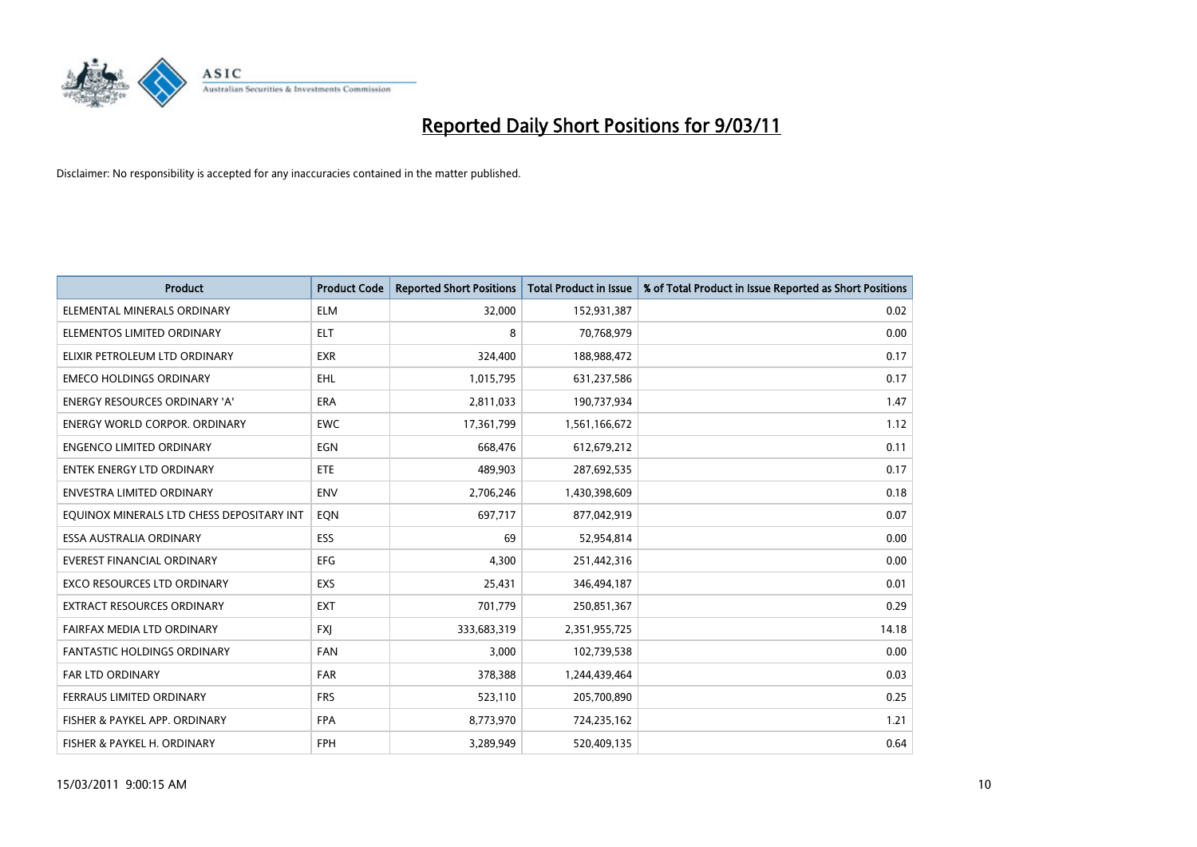

| <b>Product</b>                            | <b>Product Code</b> | <b>Reported Short Positions</b> | Total Product in Issue | % of Total Product in Issue Reported as Short Positions |
|-------------------------------------------|---------------------|---------------------------------|------------------------|---------------------------------------------------------|
| ELEMENTAL MINERALS ORDINARY               | <b>ELM</b>          | 32,000                          | 152,931,387            | 0.02                                                    |
| ELEMENTOS LIMITED ORDINARY                | <b>ELT</b>          | 8                               | 70,768,979             | 0.00                                                    |
| ELIXIR PETROLEUM LTD ORDINARY             | <b>EXR</b>          | 324,400                         | 188,988,472            | 0.17                                                    |
| <b>EMECO HOLDINGS ORDINARY</b>            | <b>EHL</b>          | 1,015,795                       | 631,237,586            | 0.17                                                    |
| <b>ENERGY RESOURCES ORDINARY 'A'</b>      | <b>ERA</b>          | 2,811,033                       | 190,737,934            | 1.47                                                    |
| <b>ENERGY WORLD CORPOR, ORDINARY</b>      | <b>EWC</b>          | 17,361,799                      | 1,561,166,672          | 1.12                                                    |
| <b>ENGENCO LIMITED ORDINARY</b>           | EGN                 | 668,476                         | 612,679,212            | 0.11                                                    |
| <b>ENTEK ENERGY LTD ORDINARY</b>          | <b>ETE</b>          | 489,903                         | 287,692,535            | 0.17                                                    |
| ENVESTRA LIMITED ORDINARY                 | <b>ENV</b>          | 2,706,246                       | 1,430,398,609          | 0.18                                                    |
| EQUINOX MINERALS LTD CHESS DEPOSITARY INT | EON                 | 697,717                         | 877,042,919            | 0.07                                                    |
| ESSA AUSTRALIA ORDINARY                   | ESS                 | 69                              | 52,954,814             | 0.00                                                    |
| EVEREST FINANCIAL ORDINARY                | <b>EFG</b>          | 4,300                           | 251,442,316            | 0.00                                                    |
| <b>EXCO RESOURCES LTD ORDINARY</b>        | <b>EXS</b>          | 25,431                          | 346,494,187            | 0.01                                                    |
| <b>EXTRACT RESOURCES ORDINARY</b>         | <b>EXT</b>          | 701,779                         | 250,851,367            | 0.29                                                    |
| FAIRFAX MEDIA LTD ORDINARY                | <b>FXI</b>          | 333,683,319                     | 2,351,955,725          | 14.18                                                   |
| <b>FANTASTIC HOLDINGS ORDINARY</b>        | <b>FAN</b>          | 3,000                           | 102,739,538            | 0.00                                                    |
| <b>FAR LTD ORDINARY</b>                   | FAR                 | 378,388                         | 1,244,439,464          | 0.03                                                    |
| FERRAUS LIMITED ORDINARY                  | <b>FRS</b>          | 523,110                         | 205,700,890            | 0.25                                                    |
| FISHER & PAYKEL APP. ORDINARY             | <b>FPA</b>          | 8,773,970                       | 724,235,162            | 1.21                                                    |
| FISHER & PAYKEL H. ORDINARY               | FPH                 | 3,289,949                       | 520,409,135            | 0.64                                                    |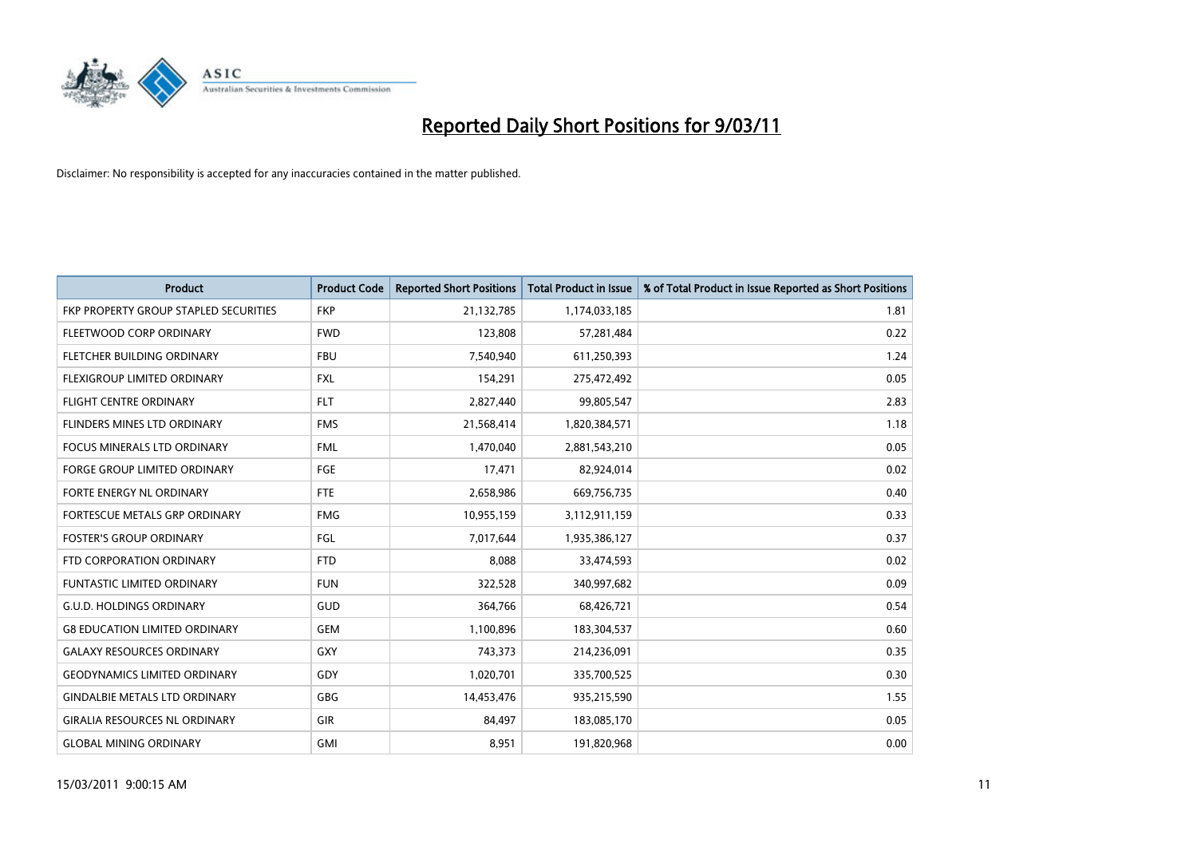

| <b>Product</b>                        | <b>Product Code</b> | <b>Reported Short Positions</b> | <b>Total Product in Issue</b> | % of Total Product in Issue Reported as Short Positions |
|---------------------------------------|---------------------|---------------------------------|-------------------------------|---------------------------------------------------------|
| FKP PROPERTY GROUP STAPLED SECURITIES | <b>FKP</b>          | 21,132,785                      | 1,174,033,185                 | 1.81                                                    |
| FLEETWOOD CORP ORDINARY               | <b>FWD</b>          | 123,808                         | 57,281,484                    | 0.22                                                    |
| FLETCHER BUILDING ORDINARY            | <b>FBU</b>          | 7,540,940                       | 611,250,393                   | 1.24                                                    |
| FLEXIGROUP LIMITED ORDINARY           | <b>FXL</b>          | 154,291                         | 275,472,492                   | 0.05                                                    |
| <b>FLIGHT CENTRE ORDINARY</b>         | <b>FLT</b>          | 2,827,440                       | 99,805,547                    | 2.83                                                    |
| FLINDERS MINES LTD ORDINARY           | <b>FMS</b>          | 21,568,414                      | 1,820,384,571                 | 1.18                                                    |
| <b>FOCUS MINERALS LTD ORDINARY</b>    | <b>FML</b>          | 1,470,040                       | 2,881,543,210                 | 0.05                                                    |
| FORGE GROUP LIMITED ORDINARY          | FGE                 | 17,471                          | 82,924,014                    | 0.02                                                    |
| FORTE ENERGY NL ORDINARY              | <b>FTE</b>          | 2,658,986                       | 669,756,735                   | 0.40                                                    |
| FORTESCUE METALS GRP ORDINARY         | <b>FMG</b>          | 10,955,159                      | 3,112,911,159                 | 0.33                                                    |
| <b>FOSTER'S GROUP ORDINARY</b>        | <b>FGL</b>          | 7,017,644                       | 1,935,386,127                 | 0.37                                                    |
| FTD CORPORATION ORDINARY              | <b>FTD</b>          | 8,088                           | 33,474,593                    | 0.02                                                    |
| <b>FUNTASTIC LIMITED ORDINARY</b>     | <b>FUN</b>          | 322,528                         | 340,997,682                   | 0.09                                                    |
| <b>G.U.D. HOLDINGS ORDINARY</b>       | GUD                 | 364,766                         | 68,426,721                    | 0.54                                                    |
| <b>G8 EDUCATION LIMITED ORDINARY</b>  | <b>GEM</b>          | 1,100,896                       | 183,304,537                   | 0.60                                                    |
| <b>GALAXY RESOURCES ORDINARY</b>      | <b>GXY</b>          | 743,373                         | 214,236,091                   | 0.35                                                    |
| <b>GEODYNAMICS LIMITED ORDINARY</b>   | GDY                 | 1,020,701                       | 335,700,525                   | 0.30                                                    |
| <b>GINDALBIE METALS LTD ORDINARY</b>  | <b>GBG</b>          | 14,453,476                      | 935,215,590                   | 1.55                                                    |
| <b>GIRALIA RESOURCES NL ORDINARY</b>  | GIR                 | 84,497                          | 183,085,170                   | 0.05                                                    |
| <b>GLOBAL MINING ORDINARY</b>         | <b>GMI</b>          | 8,951                           | 191,820,968                   | 0.00                                                    |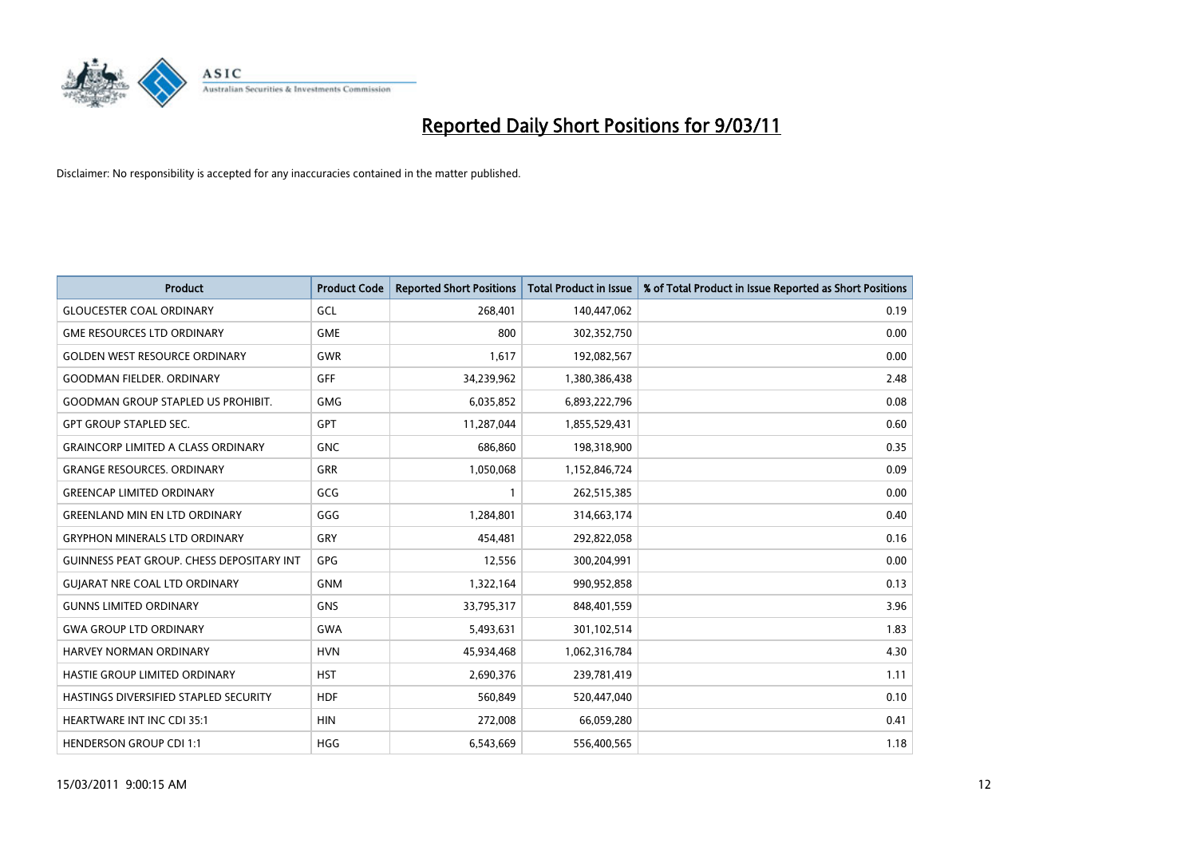

| <b>Product</b>                                   | <b>Product Code</b> | <b>Reported Short Positions</b> | <b>Total Product in Issue</b> | % of Total Product in Issue Reported as Short Positions |
|--------------------------------------------------|---------------------|---------------------------------|-------------------------------|---------------------------------------------------------|
| <b>GLOUCESTER COAL ORDINARY</b>                  | GCL                 | 268,401                         | 140,447,062                   | 0.19                                                    |
| <b>GME RESOURCES LTD ORDINARY</b>                | <b>GME</b>          | 800                             | 302,352,750                   | 0.00                                                    |
| <b>GOLDEN WEST RESOURCE ORDINARY</b>             | <b>GWR</b>          | 1,617                           | 192,082,567                   | 0.00                                                    |
| <b>GOODMAN FIELDER. ORDINARY</b>                 | GFF                 | 34,239,962                      | 1,380,386,438                 | 2.48                                                    |
| <b>GOODMAN GROUP STAPLED US PROHIBIT.</b>        | <b>GMG</b>          | 6,035,852                       | 6,893,222,796                 | 0.08                                                    |
| <b>GPT GROUP STAPLED SEC.</b>                    | <b>GPT</b>          | 11,287,044                      | 1,855,529,431                 | 0.60                                                    |
| <b>GRAINCORP LIMITED A CLASS ORDINARY</b>        | <b>GNC</b>          | 686,860                         | 198,318,900                   | 0.35                                                    |
| <b>GRANGE RESOURCES, ORDINARY</b>                | <b>GRR</b>          | 1,050,068                       | 1,152,846,724                 | 0.09                                                    |
| <b>GREENCAP LIMITED ORDINARY</b>                 | GCG                 |                                 | 262,515,385                   | 0.00                                                    |
| <b>GREENLAND MIN EN LTD ORDINARY</b>             | GGG                 | 1,284,801                       | 314,663,174                   | 0.40                                                    |
| <b>GRYPHON MINERALS LTD ORDINARY</b>             | GRY                 | 454,481                         | 292,822,058                   | 0.16                                                    |
| <b>GUINNESS PEAT GROUP. CHESS DEPOSITARY INT</b> | <b>GPG</b>          | 12,556                          | 300,204,991                   | 0.00                                                    |
| <b>GUIARAT NRE COAL LTD ORDINARY</b>             | <b>GNM</b>          | 1,322,164                       | 990,952,858                   | 0.13                                                    |
| <b>GUNNS LIMITED ORDINARY</b>                    | <b>GNS</b>          | 33,795,317                      | 848,401,559                   | 3.96                                                    |
| <b>GWA GROUP LTD ORDINARY</b>                    | <b>GWA</b>          | 5,493,631                       | 301,102,514                   | 1.83                                                    |
| <b>HARVEY NORMAN ORDINARY</b>                    | <b>HVN</b>          | 45,934,468                      | 1,062,316,784                 | 4.30                                                    |
| HASTIE GROUP LIMITED ORDINARY                    | <b>HST</b>          | 2,690,376                       | 239,781,419                   | 1.11                                                    |
| HASTINGS DIVERSIFIED STAPLED SECURITY            | <b>HDF</b>          | 560,849                         | 520,447,040                   | 0.10                                                    |
| <b>HEARTWARE INT INC CDI 35:1</b>                | <b>HIN</b>          | 272,008                         | 66,059,280                    | 0.41                                                    |
| <b>HENDERSON GROUP CDI 1:1</b>                   | <b>HGG</b>          | 6,543,669                       | 556,400,565                   | 1.18                                                    |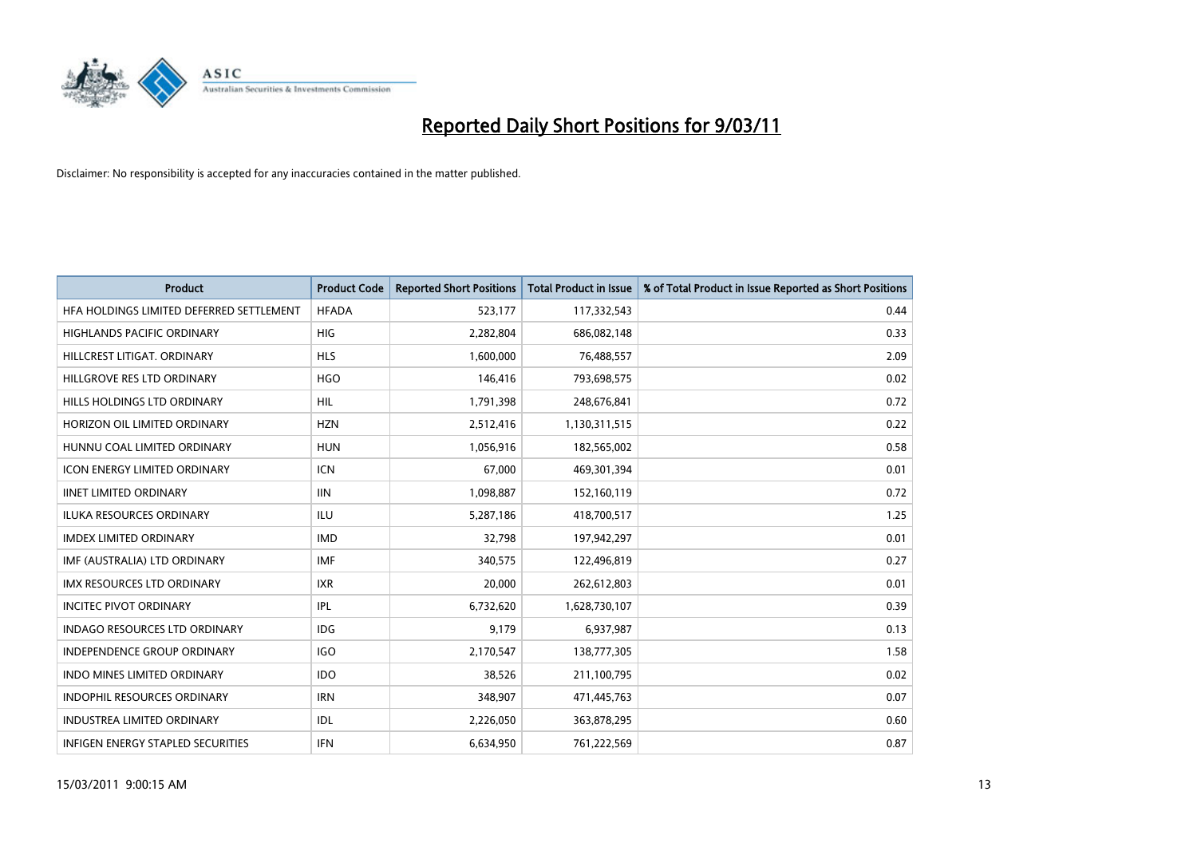

| Product                                  | <b>Product Code</b> | <b>Reported Short Positions</b> | Total Product in Issue | % of Total Product in Issue Reported as Short Positions |
|------------------------------------------|---------------------|---------------------------------|------------------------|---------------------------------------------------------|
| HFA HOLDINGS LIMITED DEFERRED SETTLEMENT | <b>HFADA</b>        | 523,177                         | 117,332,543            | 0.44                                                    |
| <b>HIGHLANDS PACIFIC ORDINARY</b>        | <b>HIG</b>          | 2,282,804                       | 686,082,148            | 0.33                                                    |
| HILLCREST LITIGAT, ORDINARY              | <b>HLS</b>          | 1,600,000                       | 76,488,557             | 2.09                                                    |
| HILLGROVE RES LTD ORDINARY               | <b>HGO</b>          | 146,416                         | 793,698,575            | 0.02                                                    |
| HILLS HOLDINGS LTD ORDINARY              | <b>HIL</b>          | 1,791,398                       | 248,676,841            | 0.72                                                    |
| HORIZON OIL LIMITED ORDINARY             | <b>HZN</b>          | 2,512,416                       | 1,130,311,515          | 0.22                                                    |
| HUNNU COAL LIMITED ORDINARY              | <b>HUN</b>          | 1,056,916                       | 182,565,002            | 0.58                                                    |
| <b>ICON ENERGY LIMITED ORDINARY</b>      | <b>ICN</b>          | 67,000                          | 469,301,394            | 0.01                                                    |
| <b>IINET LIMITED ORDINARY</b>            | <b>IIN</b>          | 1,098,887                       | 152,160,119            | 0.72                                                    |
| <b>ILUKA RESOURCES ORDINARY</b>          | ILU                 | 5,287,186                       | 418,700,517            | 1.25                                                    |
| <b>IMDEX LIMITED ORDINARY</b>            | <b>IMD</b>          | 32,798                          | 197,942,297            | 0.01                                                    |
| IMF (AUSTRALIA) LTD ORDINARY             | <b>IMF</b>          | 340,575                         | 122,496,819            | 0.27                                                    |
| <b>IMX RESOURCES LTD ORDINARY</b>        | <b>IXR</b>          | 20,000                          | 262,612,803            | 0.01                                                    |
| <b>INCITEC PIVOT ORDINARY</b>            | IPL                 | 6,732,620                       | 1,628,730,107          | 0.39                                                    |
| <b>INDAGO RESOURCES LTD ORDINARY</b>     | <b>IDG</b>          | 9,179                           | 6,937,987              | 0.13                                                    |
| <b>INDEPENDENCE GROUP ORDINARY</b>       | <b>IGO</b>          | 2,170,547                       | 138,777,305            | 1.58                                                    |
| <b>INDO MINES LIMITED ORDINARY</b>       | <b>IDO</b>          | 38,526                          | 211,100,795            | 0.02                                                    |
| INDOPHIL RESOURCES ORDINARY              | <b>IRN</b>          | 348,907                         | 471,445,763            | 0.07                                                    |
| <b>INDUSTREA LIMITED ORDINARY</b>        | IDL                 | 2,226,050                       | 363,878,295            | 0.60                                                    |
| <b>INFIGEN ENERGY STAPLED SECURITIES</b> | <b>IFN</b>          | 6,634,950                       | 761,222,569            | 0.87                                                    |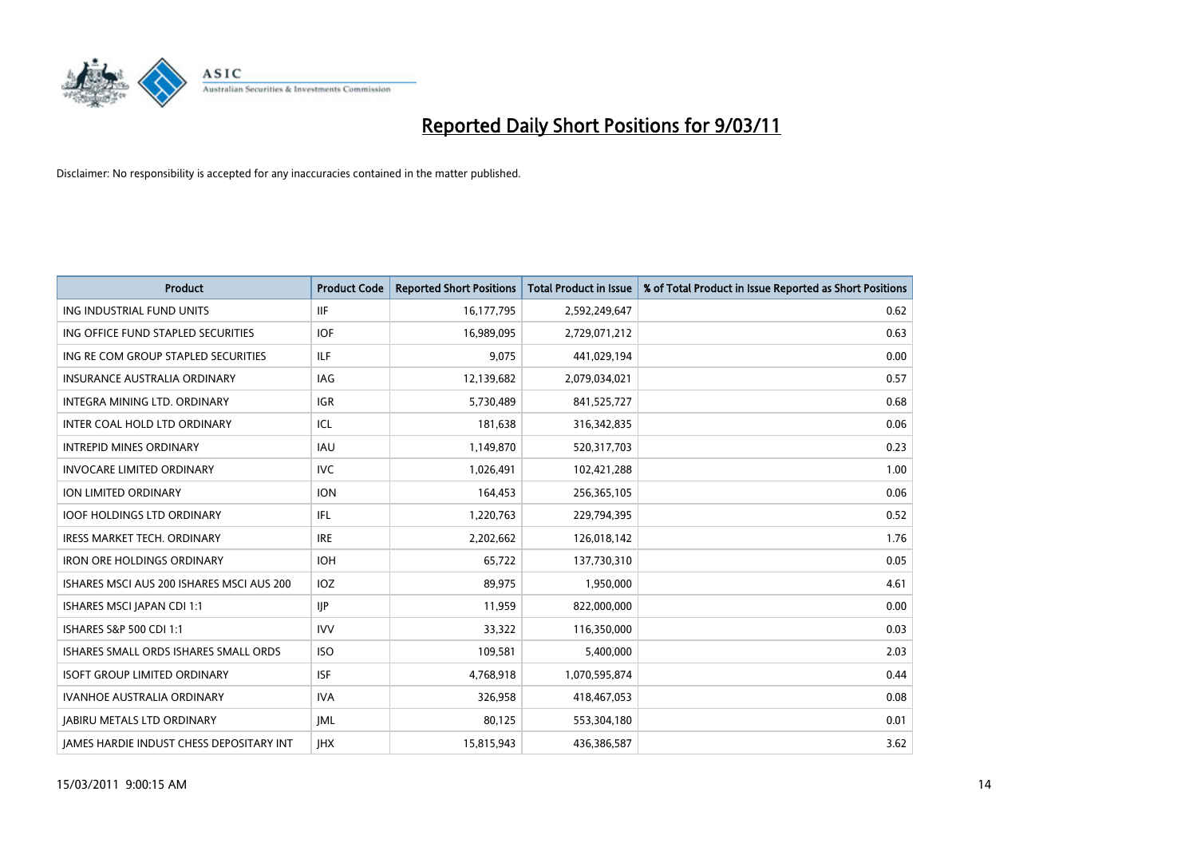

| <b>Product</b>                                  | <b>Product Code</b> | <b>Reported Short Positions</b> | Total Product in Issue | % of Total Product in Issue Reported as Short Positions |
|-------------------------------------------------|---------------------|---------------------------------|------------------------|---------------------------------------------------------|
| ING INDUSTRIAL FUND UNITS                       | <b>IIF</b>          | 16,177,795                      | 2,592,249,647          | 0.62                                                    |
| ING OFFICE FUND STAPLED SECURITIES              | <b>IOF</b>          | 16,989,095                      | 2,729,071,212          | 0.63                                                    |
| ING RE COM GROUP STAPLED SECURITIES             | <b>ILF</b>          | 9,075                           | 441,029,194            | 0.00                                                    |
| <b>INSURANCE AUSTRALIA ORDINARY</b>             | IAG                 | 12,139,682                      | 2,079,034,021          | 0.57                                                    |
| INTEGRA MINING LTD, ORDINARY                    | <b>IGR</b>          | 5.730.489                       | 841,525,727            | 0.68                                                    |
| INTER COAL HOLD LTD ORDINARY                    | ICL                 | 181,638                         | 316,342,835            | 0.06                                                    |
| <b>INTREPID MINES ORDINARY</b>                  | <b>IAU</b>          | 1,149,870                       | 520,317,703            | 0.23                                                    |
| <b>INVOCARE LIMITED ORDINARY</b>                | <b>IVC</b>          | 1,026,491                       | 102,421,288            | 1.00                                                    |
| <b>ION LIMITED ORDINARY</b>                     | <b>ION</b>          | 164,453                         | 256,365,105            | 0.06                                                    |
| <b>IOOF HOLDINGS LTD ORDINARY</b>               | IFL.                | 1,220,763                       | 229,794,395            | 0.52                                                    |
| IRESS MARKET TECH. ORDINARY                     | <b>IRE</b>          | 2,202,662                       | 126,018,142            | 1.76                                                    |
| <b>IRON ORE HOLDINGS ORDINARY</b>               | <b>IOH</b>          | 65,722                          | 137,730,310            | 0.05                                                    |
| ISHARES MSCI AUS 200 ISHARES MSCI AUS 200       | <b>IOZ</b>          | 89,975                          | 1,950,000              | 4.61                                                    |
| ISHARES MSCI JAPAN CDI 1:1                      | <b>IIP</b>          | 11,959                          | 822,000,000            | 0.00                                                    |
| ISHARES S&P 500 CDI 1:1                         | <b>IVV</b>          | 33,322                          | 116,350,000            | 0.03                                                    |
| ISHARES SMALL ORDS ISHARES SMALL ORDS           | <b>ISO</b>          | 109,581                         | 5,400,000              | 2.03                                                    |
| <b>ISOFT GROUP LIMITED ORDINARY</b>             | <b>ISF</b>          | 4,768,918                       | 1,070,595,874          | 0.44                                                    |
| IVANHOE AUSTRALIA ORDINARY                      | <b>IVA</b>          | 326,958                         | 418,467,053            | 0.08                                                    |
| <b>JABIRU METALS LTD ORDINARY</b>               | <b>IML</b>          | 80,125                          | 553,304,180            | 0.01                                                    |
| <b>IAMES HARDIE INDUST CHESS DEPOSITARY INT</b> | <b>IHX</b>          | 15,815,943                      | 436,386,587            | 3.62                                                    |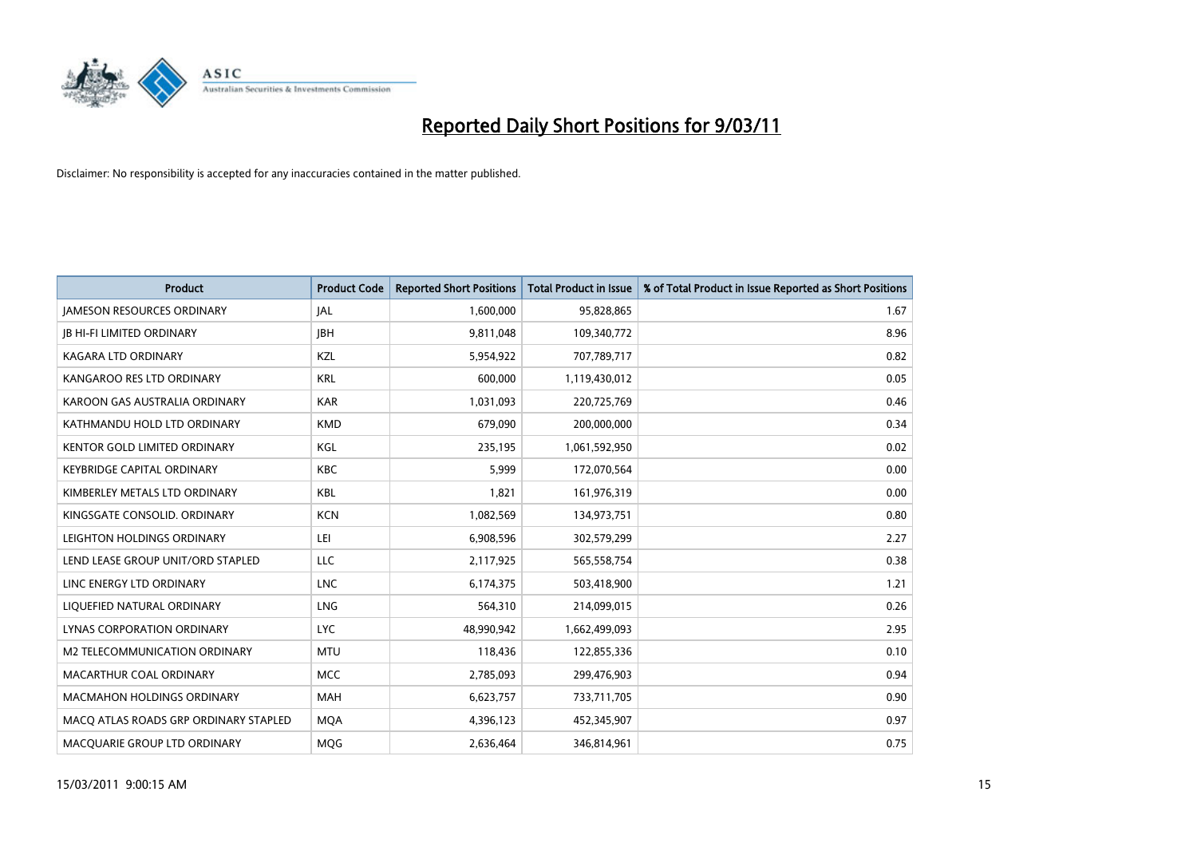

| <b>Product</b>                        | <b>Product Code</b> | <b>Reported Short Positions</b> | <b>Total Product in Issue</b> | % of Total Product in Issue Reported as Short Positions |
|---------------------------------------|---------------------|---------------------------------|-------------------------------|---------------------------------------------------------|
| <b>JAMESON RESOURCES ORDINARY</b>     | JAL                 | 1,600,000                       | 95,828,865                    | 1.67                                                    |
| <b>JB HI-FI LIMITED ORDINARY</b>      | <b>IBH</b>          | 9,811,048                       | 109,340,772                   | 8.96                                                    |
| <b>KAGARA LTD ORDINARY</b>            | KZL                 | 5,954,922                       | 707,789,717                   | 0.82                                                    |
| KANGAROO RES LTD ORDINARY             | <b>KRL</b>          | 600,000                         | 1,119,430,012                 | 0.05                                                    |
| KAROON GAS AUSTRALIA ORDINARY         | <b>KAR</b>          | 1,031,093                       | 220,725,769                   | 0.46                                                    |
| KATHMANDU HOLD LTD ORDINARY           | <b>KMD</b>          | 679,090                         | 200,000,000                   | 0.34                                                    |
| <b>KENTOR GOLD LIMITED ORDINARY</b>   | KGL                 | 235,195                         | 1,061,592,950                 | 0.02                                                    |
| <b>KEYBRIDGE CAPITAL ORDINARY</b>     | <b>KBC</b>          | 5,999                           | 172,070,564                   | 0.00                                                    |
| KIMBERLEY METALS LTD ORDINARY         | <b>KBL</b>          | 1,821                           | 161,976,319                   | 0.00                                                    |
| KINGSGATE CONSOLID. ORDINARY          | <b>KCN</b>          | 1,082,569                       | 134,973,751                   | 0.80                                                    |
| LEIGHTON HOLDINGS ORDINARY            | LEI                 | 6,908,596                       | 302,579,299                   | 2.27                                                    |
| LEND LEASE GROUP UNIT/ORD STAPLED     | LLC                 | 2,117,925                       | 565,558,754                   | 0.38                                                    |
| LINC ENERGY LTD ORDINARY              | <b>LNC</b>          | 6,174,375                       | 503,418,900                   | 1.21                                                    |
| LIQUEFIED NATURAL ORDINARY            | <b>LNG</b>          | 564,310                         | 214,099,015                   | 0.26                                                    |
| LYNAS CORPORATION ORDINARY            | <b>LYC</b>          | 48,990,942                      | 1,662,499,093                 | 2.95                                                    |
| M2 TELECOMMUNICATION ORDINARY         | <b>MTU</b>          | 118,436                         | 122,855,336                   | 0.10                                                    |
| MACARTHUR COAL ORDINARY               | <b>MCC</b>          | 2,785,093                       | 299,476,903                   | 0.94                                                    |
| <b>MACMAHON HOLDINGS ORDINARY</b>     | <b>MAH</b>          | 6,623,757                       | 733,711,705                   | 0.90                                                    |
| MACO ATLAS ROADS GRP ORDINARY STAPLED | <b>MOA</b>          | 4,396,123                       | 452,345,907                   | 0.97                                                    |
| MACQUARIE GROUP LTD ORDINARY          | <b>MOG</b>          | 2,636,464                       | 346,814,961                   | 0.75                                                    |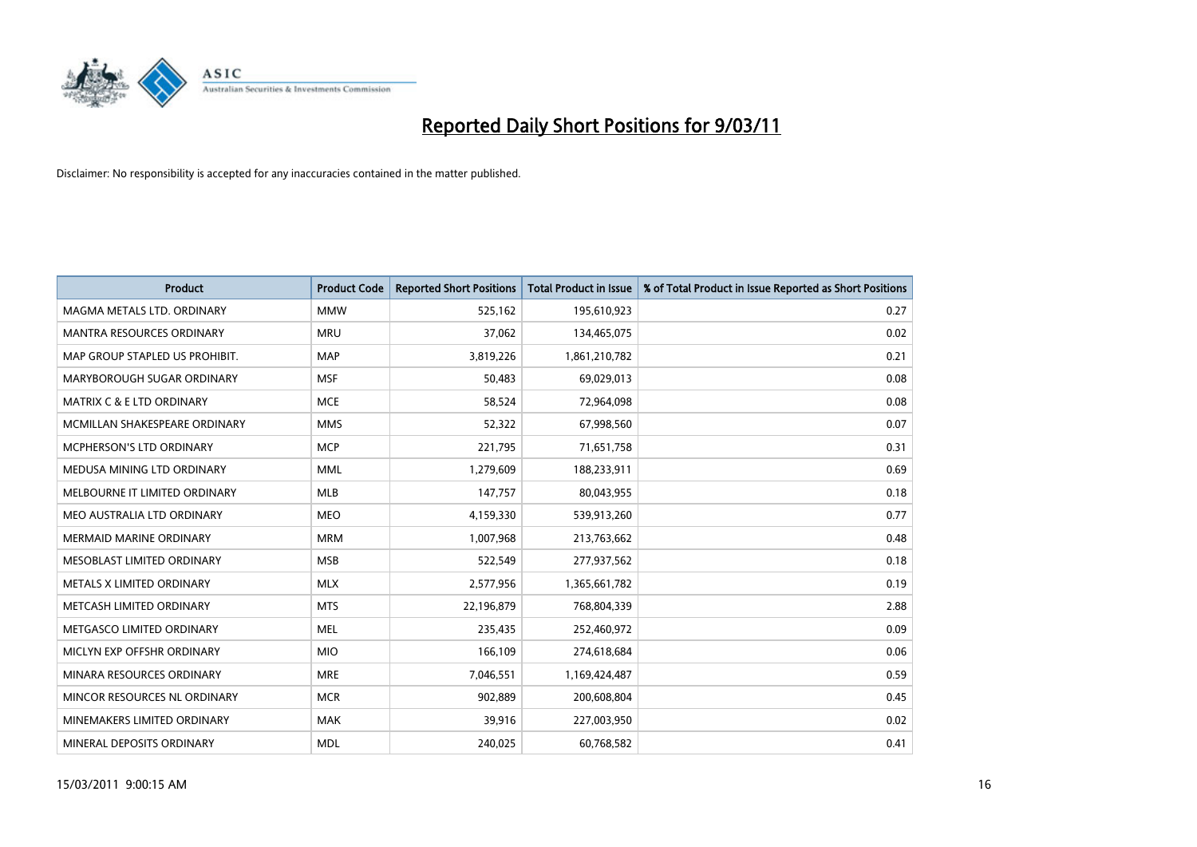

| <b>Product</b>                       | <b>Product Code</b> | <b>Reported Short Positions</b> | <b>Total Product in Issue</b> | % of Total Product in Issue Reported as Short Positions |
|--------------------------------------|---------------------|---------------------------------|-------------------------------|---------------------------------------------------------|
| MAGMA METALS LTD. ORDINARY           | <b>MMW</b>          | 525,162                         | 195,610,923                   | 0.27                                                    |
| MANTRA RESOURCES ORDINARY            | <b>MRU</b>          | 37,062                          | 134,465,075                   | 0.02                                                    |
| MAP GROUP STAPLED US PROHIBIT.       | <b>MAP</b>          | 3,819,226                       | 1,861,210,782                 | 0.21                                                    |
| MARYBOROUGH SUGAR ORDINARY           | <b>MSF</b>          | 50,483                          | 69,029,013                    | 0.08                                                    |
| <b>MATRIX C &amp; E LTD ORDINARY</b> | <b>MCE</b>          | 58,524                          | 72,964,098                    | 0.08                                                    |
| MCMILLAN SHAKESPEARE ORDINARY        | <b>MMS</b>          | 52,322                          | 67,998,560                    | 0.07                                                    |
| <b>MCPHERSON'S LTD ORDINARY</b>      | <b>MCP</b>          | 221,795                         | 71,651,758                    | 0.31                                                    |
| MEDUSA MINING LTD ORDINARY           | <b>MML</b>          | 1,279,609                       | 188,233,911                   | 0.69                                                    |
| MELBOURNE IT LIMITED ORDINARY        | <b>MLB</b>          | 147,757                         | 80,043,955                    | 0.18                                                    |
| MEO AUSTRALIA LTD ORDINARY           | <b>MEO</b>          | 4,159,330                       | 539,913,260                   | 0.77                                                    |
| <b>MERMAID MARINE ORDINARY</b>       | <b>MRM</b>          | 1,007,968                       | 213,763,662                   | 0.48                                                    |
| MESOBLAST LIMITED ORDINARY           | <b>MSB</b>          | 522,549                         | 277,937,562                   | 0.18                                                    |
| METALS X LIMITED ORDINARY            | <b>MLX</b>          | 2,577,956                       | 1,365,661,782                 | 0.19                                                    |
| METCASH LIMITED ORDINARY             | <b>MTS</b>          | 22,196,879                      | 768,804,339                   | 2.88                                                    |
| METGASCO LIMITED ORDINARY            | <b>MEL</b>          | 235,435                         | 252,460,972                   | 0.09                                                    |
| MICLYN EXP OFFSHR ORDINARY           | <b>MIO</b>          | 166,109                         | 274,618,684                   | 0.06                                                    |
| MINARA RESOURCES ORDINARY            | <b>MRE</b>          | 7,046,551                       | 1,169,424,487                 | 0.59                                                    |
| MINCOR RESOURCES NL ORDINARY         | <b>MCR</b>          | 902,889                         | 200,608,804                   | 0.45                                                    |
| MINEMAKERS LIMITED ORDINARY          | <b>MAK</b>          | 39,916                          | 227,003,950                   | 0.02                                                    |
| MINERAL DEPOSITS ORDINARY            | <b>MDL</b>          | 240,025                         | 60,768,582                    | 0.41                                                    |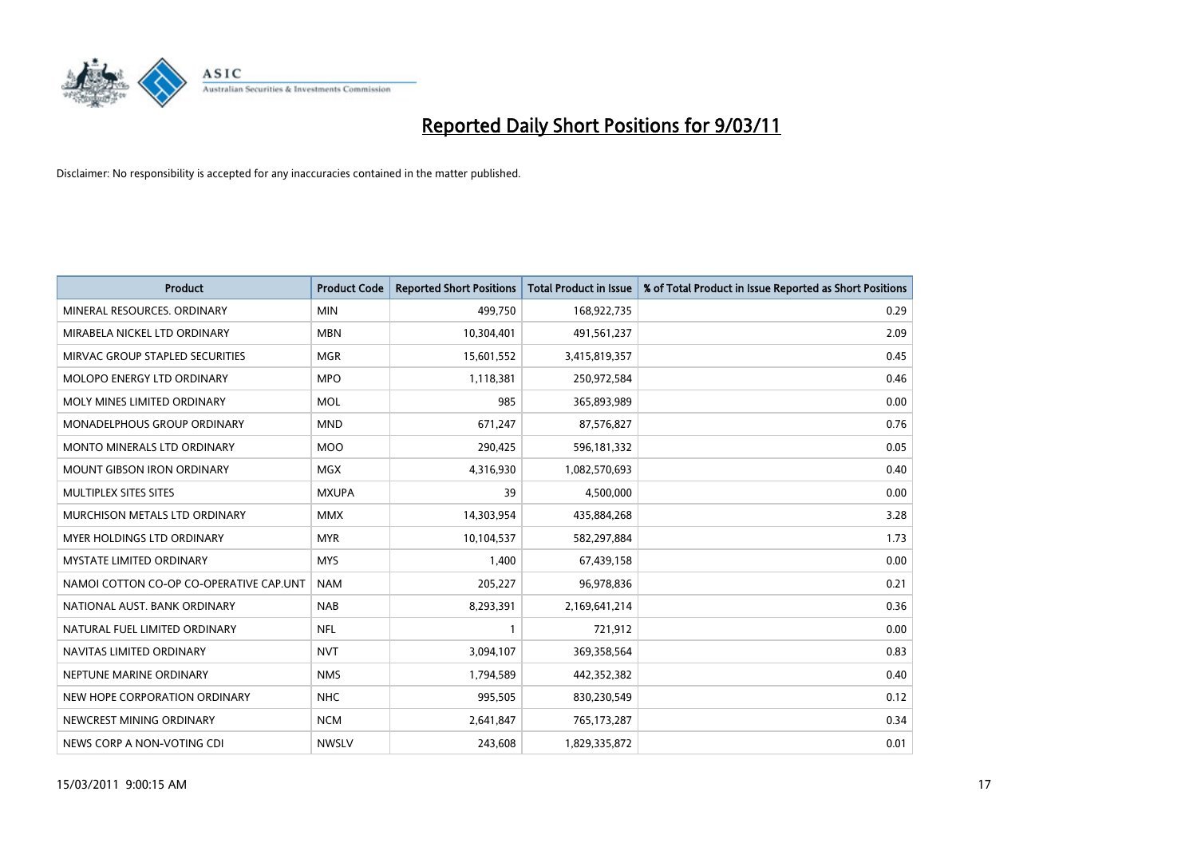

| <b>Product</b>                          | <b>Product Code</b> | <b>Reported Short Positions</b> | Total Product in Issue | % of Total Product in Issue Reported as Short Positions |
|-----------------------------------------|---------------------|---------------------------------|------------------------|---------------------------------------------------------|
| MINERAL RESOURCES, ORDINARY             | <b>MIN</b>          | 499,750                         | 168,922,735            | 0.29                                                    |
| MIRABELA NICKEL LTD ORDINARY            | <b>MBN</b>          | 10,304,401                      | 491,561,237            | 2.09                                                    |
| MIRVAC GROUP STAPLED SECURITIES         | <b>MGR</b>          | 15,601,552                      | 3,415,819,357          | 0.45                                                    |
| MOLOPO ENERGY LTD ORDINARY              | <b>MPO</b>          | 1,118,381                       | 250,972,584            | 0.46                                                    |
| MOLY MINES LIMITED ORDINARY             | <b>MOL</b>          | 985                             | 365,893,989            | 0.00                                                    |
| MONADELPHOUS GROUP ORDINARY             | <b>MND</b>          | 671,247                         | 87,576,827             | 0.76                                                    |
| <b>MONTO MINERALS LTD ORDINARY</b>      | <b>MOO</b>          | 290,425                         | 596,181,332            | 0.05                                                    |
| <b>MOUNT GIBSON IRON ORDINARY</b>       | <b>MGX</b>          | 4,316,930                       | 1,082,570,693          | 0.40                                                    |
| MULTIPLEX SITES SITES                   | <b>MXUPA</b>        | 39                              | 4,500,000              | 0.00                                                    |
| MURCHISON METALS LTD ORDINARY           | <b>MMX</b>          | 14,303,954                      | 435,884,268            | 3.28                                                    |
| MYER HOLDINGS LTD ORDINARY              | <b>MYR</b>          | 10,104,537                      | 582,297,884            | 1.73                                                    |
| <b>MYSTATE LIMITED ORDINARY</b>         | <b>MYS</b>          | 1,400                           | 67,439,158             | 0.00                                                    |
| NAMOI COTTON CO-OP CO-OPERATIVE CAP.UNT | <b>NAM</b>          | 205,227                         | 96,978,836             | 0.21                                                    |
| NATIONAL AUST, BANK ORDINARY            | <b>NAB</b>          | 8,293,391                       | 2,169,641,214          | 0.36                                                    |
| NATURAL FUEL LIMITED ORDINARY           | <b>NFL</b>          |                                 | 721,912                | 0.00                                                    |
| NAVITAS LIMITED ORDINARY                | <b>NVT</b>          | 3,094,107                       | 369,358,564            | 0.83                                                    |
| NEPTUNE MARINE ORDINARY                 | <b>NMS</b>          | 1,794,589                       | 442,352,382            | 0.40                                                    |
| NEW HOPE CORPORATION ORDINARY           | <b>NHC</b>          | 995,505                         | 830,230,549            | 0.12                                                    |
| NEWCREST MINING ORDINARY                | <b>NCM</b>          | 2,641,847                       | 765,173,287            | 0.34                                                    |
| NEWS CORP A NON-VOTING CDI              | <b>NWSLV</b>        | 243.608                         | 1,829,335,872          | 0.01                                                    |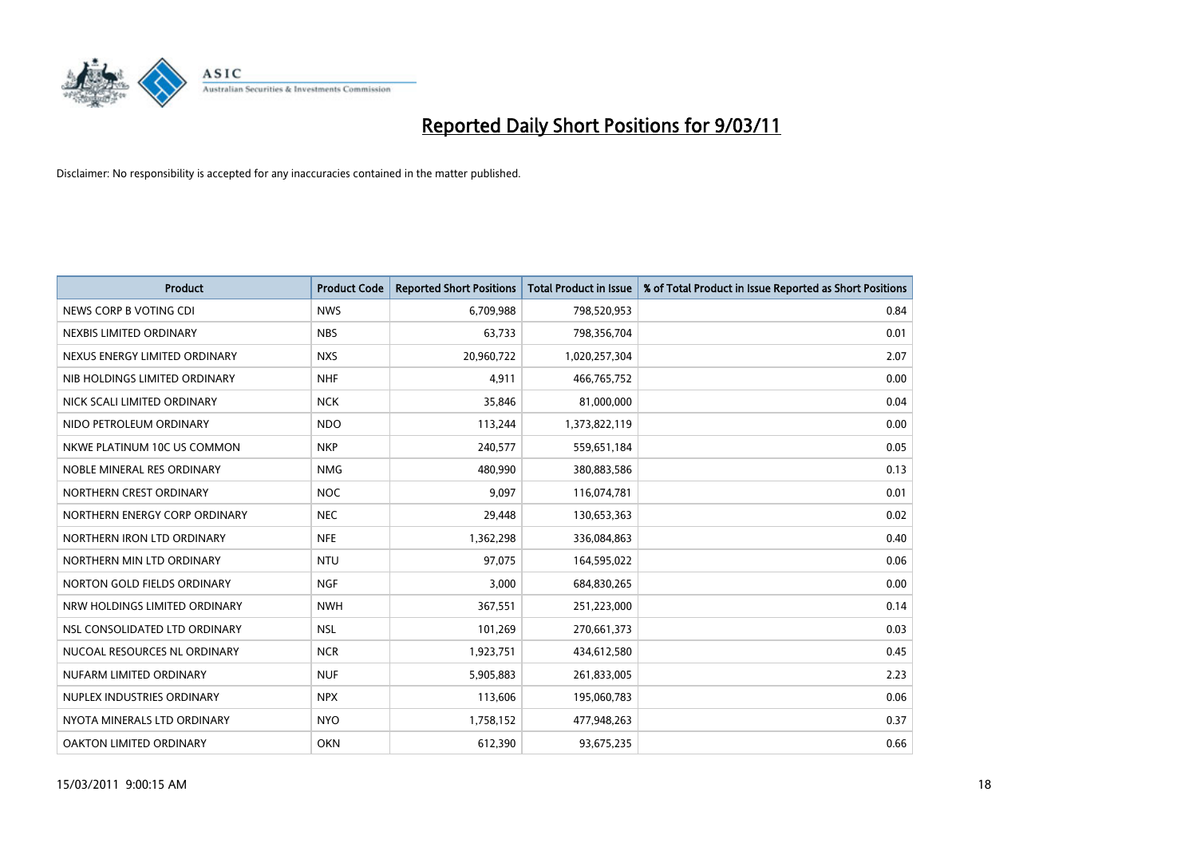

| <b>Product</b>                | <b>Product Code</b> | <b>Reported Short Positions</b> | Total Product in Issue | % of Total Product in Issue Reported as Short Positions |
|-------------------------------|---------------------|---------------------------------|------------------------|---------------------------------------------------------|
| NEWS CORP B VOTING CDI        | <b>NWS</b>          | 6,709,988                       | 798,520,953            | 0.84                                                    |
| NEXBIS LIMITED ORDINARY       | <b>NBS</b>          | 63,733                          | 798,356,704            | 0.01                                                    |
| NEXUS ENERGY LIMITED ORDINARY | <b>NXS</b>          | 20,960,722                      | 1,020,257,304          | 2.07                                                    |
| NIB HOLDINGS LIMITED ORDINARY | <b>NHF</b>          | 4,911                           | 466,765,752            | 0.00                                                    |
| NICK SCALI LIMITED ORDINARY   | <b>NCK</b>          | 35,846                          | 81,000,000             | 0.04                                                    |
| NIDO PETROLEUM ORDINARY       | <b>NDO</b>          | 113,244                         | 1,373,822,119          | 0.00                                                    |
| NKWE PLATINUM 10C US COMMON   | <b>NKP</b>          | 240,577                         | 559,651,184            | 0.05                                                    |
| NOBLE MINERAL RES ORDINARY    | <b>NMG</b>          | 480,990                         | 380,883,586            | 0.13                                                    |
| NORTHERN CREST ORDINARY       | <b>NOC</b>          | 9,097                           | 116,074,781            | 0.01                                                    |
| NORTHERN ENERGY CORP ORDINARY | <b>NEC</b>          | 29,448                          | 130,653,363            | 0.02                                                    |
| NORTHERN IRON LTD ORDINARY    | <b>NFE</b>          | 1,362,298                       | 336,084,863            | 0.40                                                    |
| NORTHERN MIN LTD ORDINARY     | <b>NTU</b>          | 97,075                          | 164,595,022            | 0.06                                                    |
| NORTON GOLD FIELDS ORDINARY   | <b>NGF</b>          | 3,000                           | 684,830,265            | 0.00                                                    |
| NRW HOLDINGS LIMITED ORDINARY | <b>NWH</b>          | 367,551                         | 251,223,000            | 0.14                                                    |
| NSL CONSOLIDATED LTD ORDINARY | <b>NSL</b>          | 101,269                         | 270,661,373            | 0.03                                                    |
| NUCOAL RESOURCES NL ORDINARY  | <b>NCR</b>          | 1,923,751                       | 434,612,580            | 0.45                                                    |
| NUFARM LIMITED ORDINARY       | <b>NUF</b>          | 5,905,883                       | 261,833,005            | 2.23                                                    |
| NUPLEX INDUSTRIES ORDINARY    | <b>NPX</b>          | 113,606                         | 195,060,783            | 0.06                                                    |
| NYOTA MINERALS LTD ORDINARY   | <b>NYO</b>          | 1,758,152                       | 477,948,263            | 0.37                                                    |
| OAKTON LIMITED ORDINARY       | <b>OKN</b>          | 612,390                         | 93,675,235             | 0.66                                                    |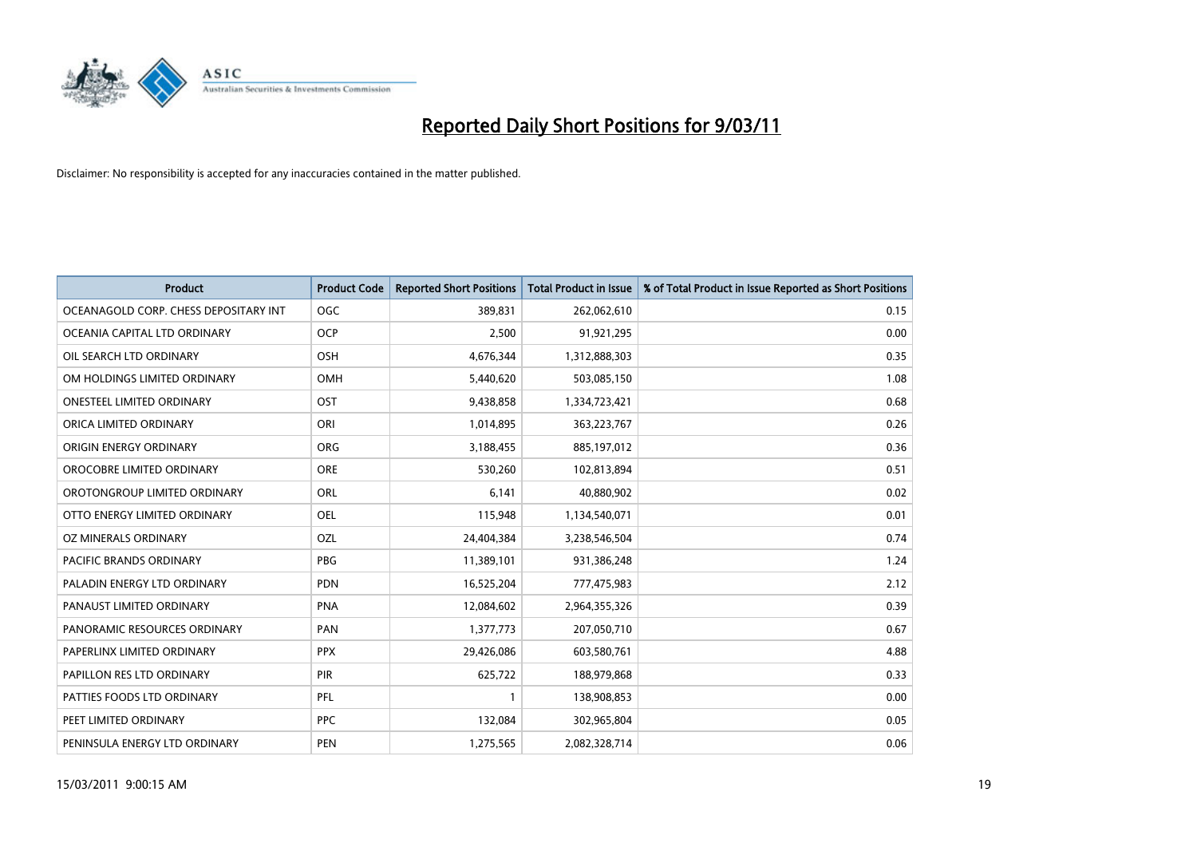

| Product                               | <b>Product Code</b> | <b>Reported Short Positions</b> | <b>Total Product in Issue</b> | % of Total Product in Issue Reported as Short Positions |
|---------------------------------------|---------------------|---------------------------------|-------------------------------|---------------------------------------------------------|
| OCEANAGOLD CORP. CHESS DEPOSITARY INT | <b>OGC</b>          | 389,831                         | 262,062,610                   | 0.15                                                    |
| OCEANIA CAPITAL LTD ORDINARY          | <b>OCP</b>          | 2,500                           | 91,921,295                    | 0.00                                                    |
| OIL SEARCH LTD ORDINARY               | OSH                 | 4,676,344                       | 1,312,888,303                 | 0.35                                                    |
| OM HOLDINGS LIMITED ORDINARY          | OMH                 | 5,440,620                       | 503,085,150                   | 1.08                                                    |
| <b>ONESTEEL LIMITED ORDINARY</b>      | <b>OST</b>          | 9,438,858                       | 1,334,723,421                 | 0.68                                                    |
| ORICA LIMITED ORDINARY                | ORI                 | 1,014,895                       | 363,223,767                   | 0.26                                                    |
| ORIGIN ENERGY ORDINARY                | <b>ORG</b>          | 3,188,455                       | 885,197,012                   | 0.36                                                    |
| OROCOBRE LIMITED ORDINARY             | <b>ORE</b>          | 530,260                         | 102,813,894                   | 0.51                                                    |
| OROTONGROUP LIMITED ORDINARY          | ORL                 | 6,141                           | 40,880,902                    | 0.02                                                    |
| OTTO ENERGY LIMITED ORDINARY          | <b>OEL</b>          | 115,948                         | 1,134,540,071                 | 0.01                                                    |
| OZ MINERALS ORDINARY                  | OZL                 | 24,404,384                      | 3,238,546,504                 | 0.74                                                    |
| PACIFIC BRANDS ORDINARY               | <b>PBG</b>          | 11,389,101                      | 931,386,248                   | 1.24                                                    |
| PALADIN ENERGY LTD ORDINARY           | <b>PDN</b>          | 16,525,204                      | 777,475,983                   | 2.12                                                    |
| PANAUST LIMITED ORDINARY              | <b>PNA</b>          | 12,084,602                      | 2,964,355,326                 | 0.39                                                    |
| PANORAMIC RESOURCES ORDINARY          | PAN                 | 1,377,773                       | 207,050,710                   | 0.67                                                    |
| PAPERLINX LIMITED ORDINARY            | <b>PPX</b>          | 29,426,086                      | 603,580,761                   | 4.88                                                    |
| PAPILLON RES LTD ORDINARY             | PIR                 | 625,722                         | 188,979,868                   | 0.33                                                    |
| PATTIES FOODS LTD ORDINARY            | PFL                 |                                 | 138,908,853                   | 0.00                                                    |
| PEET LIMITED ORDINARY                 | <b>PPC</b>          | 132,084                         | 302,965,804                   | 0.05                                                    |
| PENINSULA ENERGY LTD ORDINARY         | PEN                 | 1,275,565                       | 2,082,328,714                 | 0.06                                                    |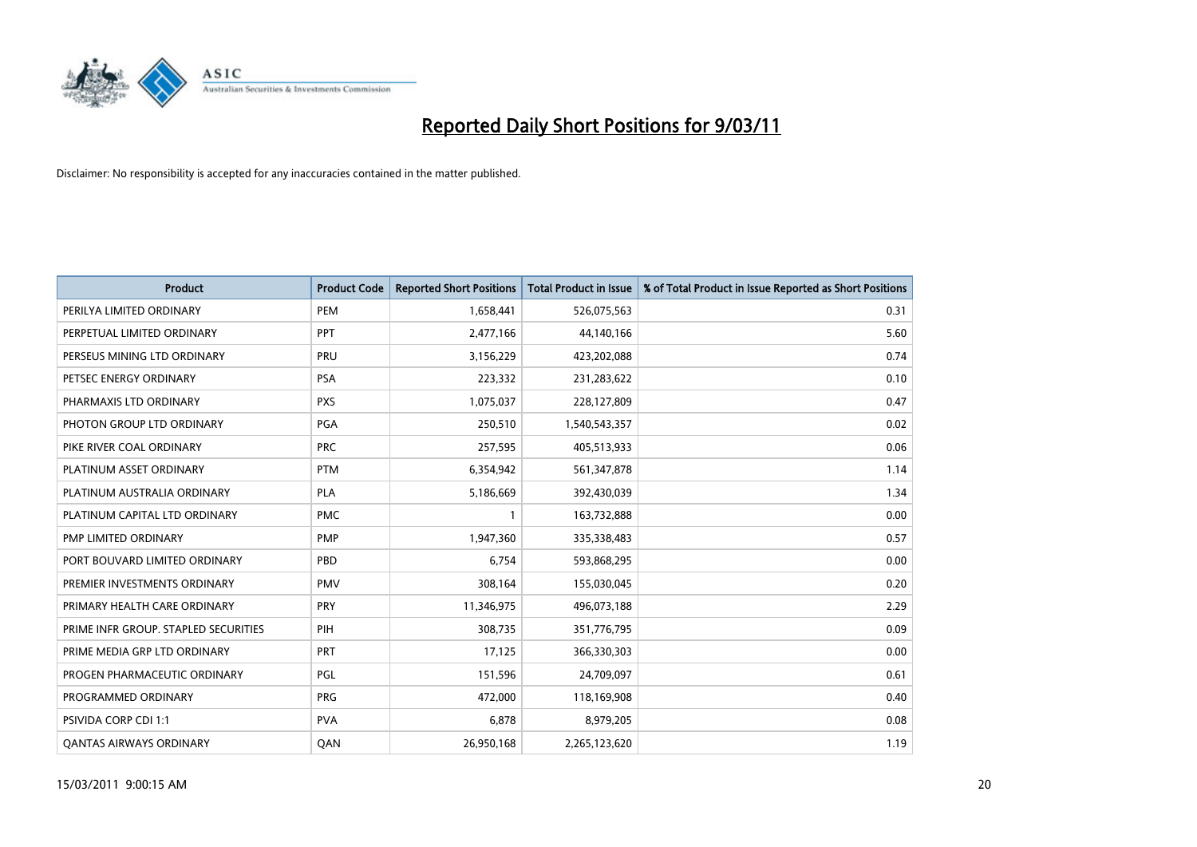

| Product                              | <b>Product Code</b> | <b>Reported Short Positions</b> | Total Product in Issue | % of Total Product in Issue Reported as Short Positions |
|--------------------------------------|---------------------|---------------------------------|------------------------|---------------------------------------------------------|
| PERILYA LIMITED ORDINARY             | PEM                 | 1,658,441                       | 526,075,563            | 0.31                                                    |
| PERPETUAL LIMITED ORDINARY           | <b>PPT</b>          | 2,477,166                       | 44,140,166             | 5.60                                                    |
| PERSEUS MINING LTD ORDINARY          | PRU                 | 3,156,229                       | 423,202,088            | 0.74                                                    |
| PETSEC ENERGY ORDINARY               | <b>PSA</b>          | 223,332                         | 231,283,622            | 0.10                                                    |
| PHARMAXIS LTD ORDINARY               | <b>PXS</b>          | 1,075,037                       | 228,127,809            | 0.47                                                    |
| PHOTON GROUP LTD ORDINARY            | PGA                 | 250,510                         | 1,540,543,357          | 0.02                                                    |
| PIKE RIVER COAL ORDINARY             | <b>PRC</b>          | 257,595                         | 405,513,933            | 0.06                                                    |
| PLATINUM ASSET ORDINARY              | <b>PTM</b>          | 6,354,942                       | 561,347,878            | 1.14                                                    |
| PLATINUM AUSTRALIA ORDINARY          | <b>PLA</b>          | 5,186,669                       | 392,430,039            | 1.34                                                    |
| PLATINUM CAPITAL LTD ORDINARY        | <b>PMC</b>          |                                 | 163,732,888            | 0.00                                                    |
| PMP LIMITED ORDINARY                 | <b>PMP</b>          | 1,947,360                       | 335,338,483            | 0.57                                                    |
| PORT BOUVARD LIMITED ORDINARY        | PBD                 | 6,754                           | 593,868,295            | 0.00                                                    |
| PREMIER INVESTMENTS ORDINARY         | <b>PMV</b>          | 308,164                         | 155,030,045            | 0.20                                                    |
| PRIMARY HEALTH CARE ORDINARY         | PRY                 | 11,346,975                      | 496,073,188            | 2.29                                                    |
| PRIME INFR GROUP. STAPLED SECURITIES | PIH                 | 308,735                         | 351,776,795            | 0.09                                                    |
| PRIME MEDIA GRP LTD ORDINARY         | PRT                 | 17,125                          | 366,330,303            | 0.00                                                    |
| PROGEN PHARMACEUTIC ORDINARY         | PGL                 | 151,596                         | 24,709,097             | 0.61                                                    |
| PROGRAMMED ORDINARY                  | <b>PRG</b>          | 472,000                         | 118,169,908            | 0.40                                                    |
| PSIVIDA CORP CDI 1:1                 | <b>PVA</b>          | 6,878                           | 8,979,205              | 0.08                                                    |
| <b>QANTAS AIRWAYS ORDINARY</b>       | QAN                 | 26,950,168                      | 2,265,123,620          | 1.19                                                    |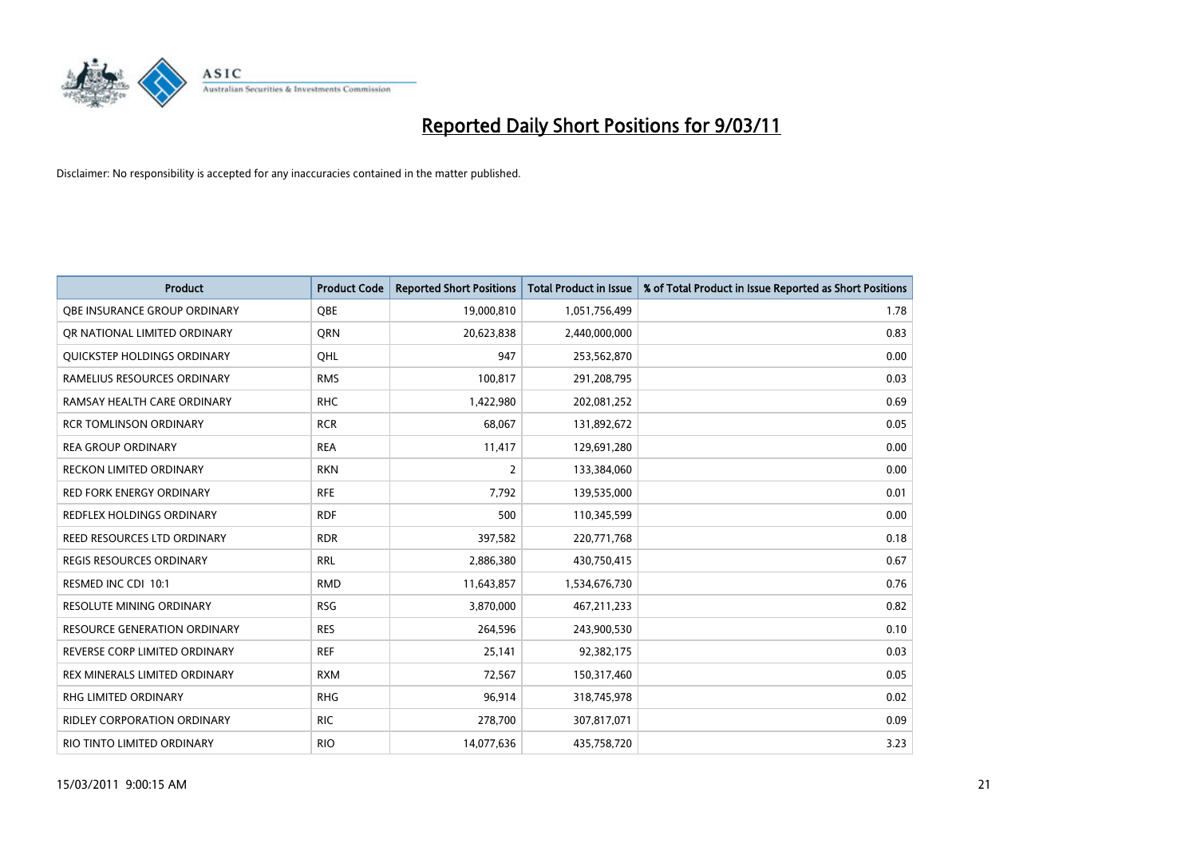

| <b>Product</b>                      | <b>Product Code</b> | <b>Reported Short Positions</b> | <b>Total Product in Issue</b> | % of Total Product in Issue Reported as Short Positions |
|-------------------------------------|---------------------|---------------------------------|-------------------------------|---------------------------------------------------------|
| OBE INSURANCE GROUP ORDINARY        | <b>OBE</b>          | 19,000,810                      | 1,051,756,499                 | 1.78                                                    |
| OR NATIONAL LIMITED ORDINARY        | <b>ORN</b>          | 20,623,838                      | 2,440,000,000                 | 0.83                                                    |
| <b>OUICKSTEP HOLDINGS ORDINARY</b>  | OHL                 | 947                             | 253,562,870                   | 0.00                                                    |
| RAMELIUS RESOURCES ORDINARY         | <b>RMS</b>          | 100,817                         | 291,208,795                   | 0.03                                                    |
| RAMSAY HEALTH CARE ORDINARY         | <b>RHC</b>          | 1,422,980                       | 202,081,252                   | 0.69                                                    |
| <b>RCR TOMLINSON ORDINARY</b>       | <b>RCR</b>          | 68,067                          | 131,892,672                   | 0.05                                                    |
| <b>REA GROUP ORDINARY</b>           | <b>REA</b>          | 11,417                          | 129,691,280                   | 0.00                                                    |
| RECKON LIMITED ORDINARY             | <b>RKN</b>          | 2                               | 133,384,060                   | 0.00                                                    |
| RED FORK ENERGY ORDINARY            | <b>RFE</b>          | 7,792                           | 139,535,000                   | 0.01                                                    |
| <b>REDFLEX HOLDINGS ORDINARY</b>    | <b>RDF</b>          | 500                             | 110,345,599                   | 0.00                                                    |
| REED RESOURCES LTD ORDINARY         | <b>RDR</b>          | 397,582                         | 220,771,768                   | 0.18                                                    |
| <b>REGIS RESOURCES ORDINARY</b>     | <b>RRL</b>          | 2,886,380                       | 430,750,415                   | 0.67                                                    |
| RESMED INC CDI 10:1                 | <b>RMD</b>          | 11,643,857                      | 1,534,676,730                 | 0.76                                                    |
| <b>RESOLUTE MINING ORDINARY</b>     | <b>RSG</b>          | 3,870,000                       | 467,211,233                   | 0.82                                                    |
| <b>RESOURCE GENERATION ORDINARY</b> | <b>RES</b>          | 264,596                         | 243,900,530                   | 0.10                                                    |
| REVERSE CORP LIMITED ORDINARY       | <b>REF</b>          | 25,141                          | 92,382,175                    | 0.03                                                    |
| REX MINERALS LIMITED ORDINARY       | <b>RXM</b>          | 72,567                          | 150,317,460                   | 0.05                                                    |
| RHG LIMITED ORDINARY                | <b>RHG</b>          | 96,914                          | 318,745,978                   | 0.02                                                    |
| <b>RIDLEY CORPORATION ORDINARY</b>  | <b>RIC</b>          | 278,700                         | 307,817,071                   | 0.09                                                    |
| RIO TINTO LIMITED ORDINARY          | <b>RIO</b>          | 14,077,636                      | 435,758,720                   | 3.23                                                    |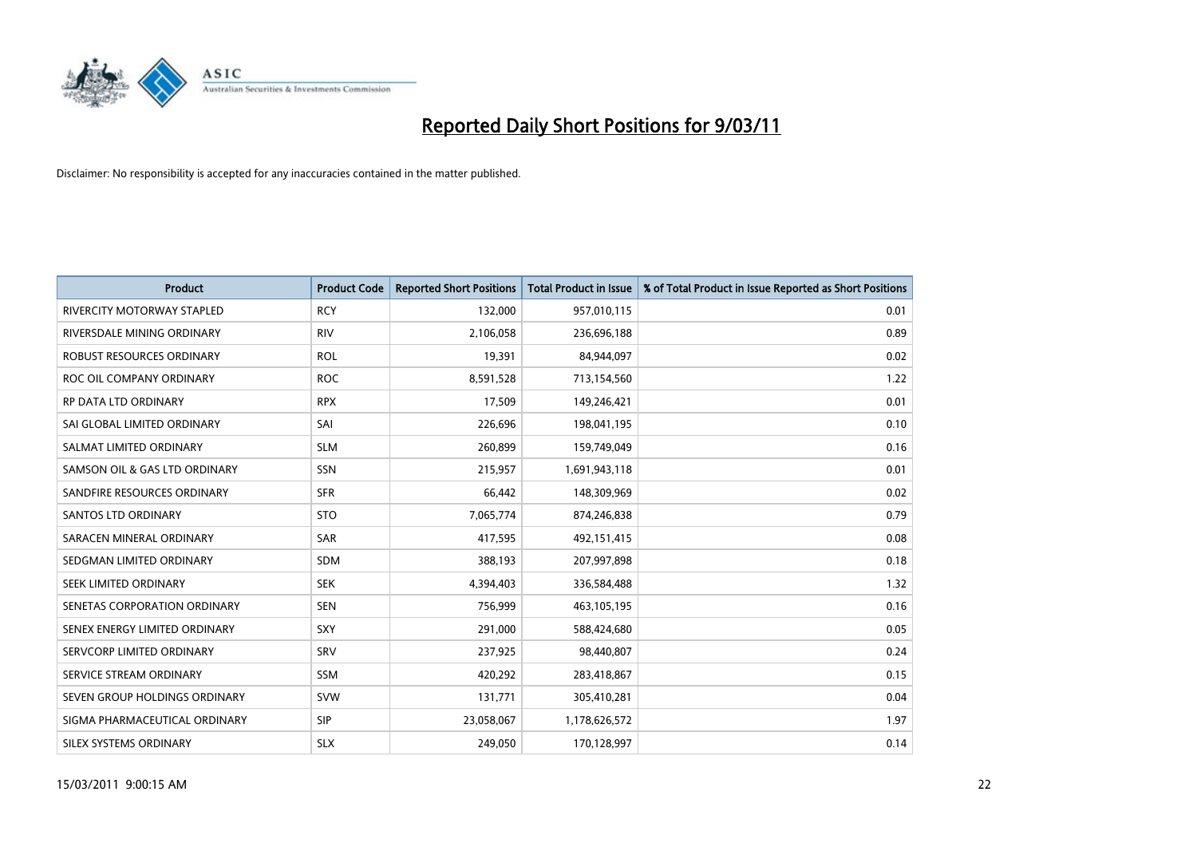

| <b>Product</b>                    | <b>Product Code</b> | <b>Reported Short Positions</b> | <b>Total Product in Issue</b> | % of Total Product in Issue Reported as Short Positions |
|-----------------------------------|---------------------|---------------------------------|-------------------------------|---------------------------------------------------------|
| <b>RIVERCITY MOTORWAY STAPLED</b> | <b>RCY</b>          | 132,000                         | 957,010,115                   | 0.01                                                    |
| RIVERSDALE MINING ORDINARY        | <b>RIV</b>          | 2,106,058                       | 236,696,188                   | 0.89                                                    |
| ROBUST RESOURCES ORDINARY         | <b>ROL</b>          | 19,391                          | 84,944,097                    | 0.02                                                    |
| ROC OIL COMPANY ORDINARY          | <b>ROC</b>          | 8,591,528                       | 713,154,560                   | 1.22                                                    |
| RP DATA LTD ORDINARY              | <b>RPX</b>          | 17,509                          | 149,246,421                   | 0.01                                                    |
| SAI GLOBAL LIMITED ORDINARY       | SAI                 | 226,696                         | 198,041,195                   | 0.10                                                    |
| SALMAT LIMITED ORDINARY           | <b>SLM</b>          | 260,899                         | 159,749,049                   | 0.16                                                    |
| SAMSON OIL & GAS LTD ORDINARY     | <b>SSN</b>          | 215,957                         | 1,691,943,118                 | 0.01                                                    |
| SANDFIRE RESOURCES ORDINARY       | <b>SFR</b>          | 66,442                          | 148,309,969                   | 0.02                                                    |
| <b>SANTOS LTD ORDINARY</b>        | <b>STO</b>          | 7,065,774                       | 874,246,838                   | 0.79                                                    |
| SARACEN MINERAL ORDINARY          | <b>SAR</b>          | 417,595                         | 492,151,415                   | 0.08                                                    |
| SEDGMAN LIMITED ORDINARY          | <b>SDM</b>          | 388,193                         | 207,997,898                   | 0.18                                                    |
| SEEK LIMITED ORDINARY             | <b>SEK</b>          | 4,394,403                       | 336,584,488                   | 1.32                                                    |
| SENETAS CORPORATION ORDINARY      | <b>SEN</b>          | 756,999                         | 463,105,195                   | 0.16                                                    |
| SENEX ENERGY LIMITED ORDINARY     | SXY                 | 291,000                         | 588,424,680                   | 0.05                                                    |
| SERVCORP LIMITED ORDINARY         | SRV                 | 237,925                         | 98,440,807                    | 0.24                                                    |
| SERVICE STREAM ORDINARY           | <b>SSM</b>          | 420,292                         | 283,418,867                   | 0.15                                                    |
| SEVEN GROUP HOLDINGS ORDINARY     | <b>SVW</b>          | 131,771                         | 305,410,281                   | 0.04                                                    |
| SIGMA PHARMACEUTICAL ORDINARY     | <b>SIP</b>          | 23,058,067                      | 1,178,626,572                 | 1.97                                                    |
| SILEX SYSTEMS ORDINARY            | <b>SLX</b>          | 249,050                         | 170,128,997                   | 0.14                                                    |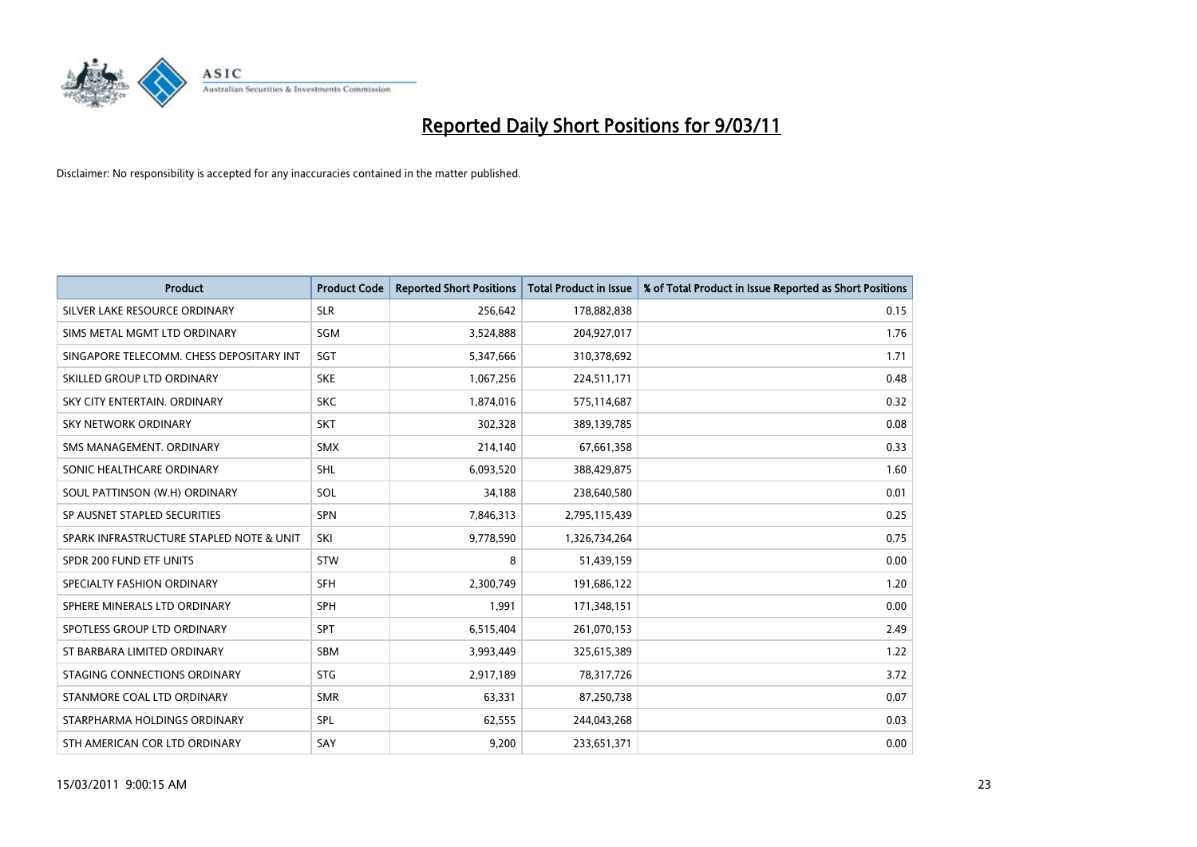

| Product                                  | <b>Product Code</b> | <b>Reported Short Positions</b> | <b>Total Product in Issue</b> | % of Total Product in Issue Reported as Short Positions |
|------------------------------------------|---------------------|---------------------------------|-------------------------------|---------------------------------------------------------|
| SILVER LAKE RESOURCE ORDINARY            | <b>SLR</b>          | 256,642                         | 178,882,838                   | 0.15                                                    |
| SIMS METAL MGMT LTD ORDINARY             | SGM                 | 3,524,888                       | 204,927,017                   | 1.76                                                    |
| SINGAPORE TELECOMM. CHESS DEPOSITARY INT | SGT                 | 5,347,666                       | 310,378,692                   | 1.71                                                    |
| SKILLED GROUP LTD ORDINARY               | <b>SKE</b>          | 1,067,256                       | 224,511,171                   | 0.48                                                    |
| SKY CITY ENTERTAIN, ORDINARY             | <b>SKC</b>          | 1,874,016                       | 575,114,687                   | 0.32                                                    |
| <b>SKY NETWORK ORDINARY</b>              | <b>SKT</b>          | 302,328                         | 389,139,785                   | 0.08                                                    |
| SMS MANAGEMENT, ORDINARY                 | <b>SMX</b>          | 214,140                         | 67,661,358                    | 0.33                                                    |
| SONIC HEALTHCARE ORDINARY                | <b>SHL</b>          | 6,093,520                       | 388,429,875                   | 1.60                                                    |
| SOUL PATTINSON (W.H) ORDINARY            | SOL                 | 34,188                          | 238,640,580                   | 0.01                                                    |
| SP AUSNET STAPLED SECURITIES             | <b>SPN</b>          | 7,846,313                       | 2,795,115,439                 | 0.25                                                    |
| SPARK INFRASTRUCTURE STAPLED NOTE & UNIT | SKI                 | 9,778,590                       | 1,326,734,264                 | 0.75                                                    |
| SPDR 200 FUND ETF UNITS                  | <b>STW</b>          | 8                               | 51,439,159                    | 0.00                                                    |
| SPECIALTY FASHION ORDINARY               | <b>SFH</b>          | 2,300,749                       | 191,686,122                   | 1.20                                                    |
| SPHERE MINERALS LTD ORDINARY             | <b>SPH</b>          | 1,991                           | 171,348,151                   | 0.00                                                    |
| SPOTLESS GROUP LTD ORDINARY              | <b>SPT</b>          | 6,515,404                       | 261,070,153                   | 2.49                                                    |
| ST BARBARA LIMITED ORDINARY              | <b>SBM</b>          | 3,993,449                       | 325,615,389                   | 1.22                                                    |
| STAGING CONNECTIONS ORDINARY             | <b>STG</b>          | 2,917,189                       | 78,317,726                    | 3.72                                                    |
| STANMORE COAL LTD ORDINARY               | <b>SMR</b>          | 63,331                          | 87,250,738                    | 0.07                                                    |
| STARPHARMA HOLDINGS ORDINARY             | SPL                 | 62,555                          | 244,043,268                   | 0.03                                                    |
| STH AMERICAN COR LTD ORDINARY            | SAY                 | 9,200                           | 233,651,371                   | 0.00                                                    |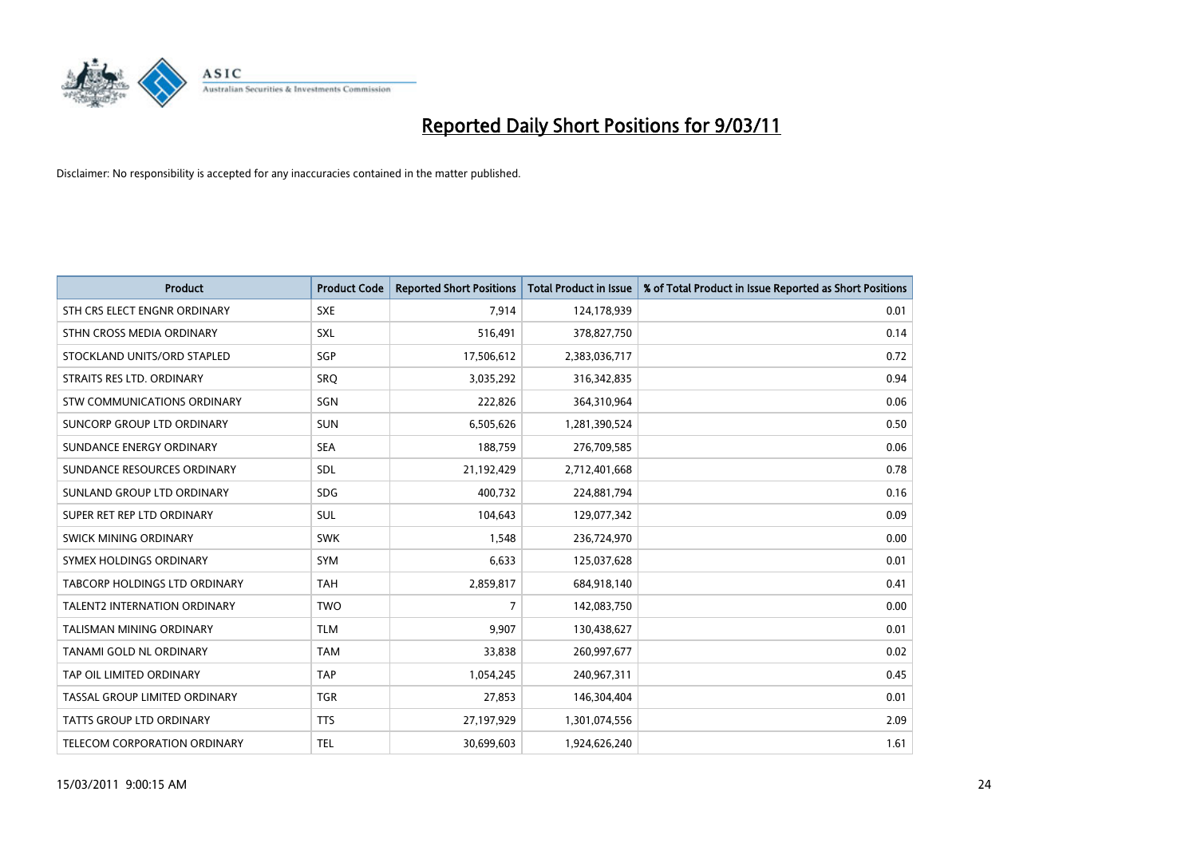

| Product                              | <b>Product Code</b> | <b>Reported Short Positions</b> | <b>Total Product in Issue</b> | % of Total Product in Issue Reported as Short Positions |
|--------------------------------------|---------------------|---------------------------------|-------------------------------|---------------------------------------------------------|
| STH CRS ELECT ENGNR ORDINARY         | <b>SXE</b>          | 7,914                           | 124,178,939                   | 0.01                                                    |
| STHN CROSS MEDIA ORDINARY            | SXL                 | 516,491                         | 378,827,750                   | 0.14                                                    |
| STOCKLAND UNITS/ORD STAPLED          | SGP                 | 17,506,612                      | 2,383,036,717                 | 0.72                                                    |
| STRAITS RES LTD. ORDINARY            | SRQ                 | 3,035,292                       | 316,342,835                   | 0.94                                                    |
| <b>STW COMMUNICATIONS ORDINARY</b>   | SGN                 | 222,826                         | 364,310,964                   | 0.06                                                    |
| SUNCORP GROUP LTD ORDINARY           | <b>SUN</b>          | 6,505,626                       | 1,281,390,524                 | 0.50                                                    |
| SUNDANCE ENERGY ORDINARY             | <b>SEA</b>          | 188,759                         | 276,709,585                   | 0.06                                                    |
| SUNDANCE RESOURCES ORDINARY          | SDL                 | 21,192,429                      | 2,712,401,668                 | 0.78                                                    |
| SUNLAND GROUP LTD ORDINARY           | <b>SDG</b>          | 400,732                         | 224,881,794                   | 0.16                                                    |
| SUPER RET REP LTD ORDINARY           | SUL                 | 104,643                         | 129,077,342                   | 0.09                                                    |
| <b>SWICK MINING ORDINARY</b>         | <b>SWK</b>          | 1,548                           | 236,724,970                   | 0.00                                                    |
| SYMEX HOLDINGS ORDINARY              | <b>SYM</b>          | 6,633                           | 125,037,628                   | 0.01                                                    |
| <b>TABCORP HOLDINGS LTD ORDINARY</b> | <b>TAH</b>          | 2,859,817                       | 684,918,140                   | 0.41                                                    |
| <b>TALENT2 INTERNATION ORDINARY</b>  | <b>TWO</b>          | 7                               | 142,083,750                   | 0.00                                                    |
| TALISMAN MINING ORDINARY             | <b>TLM</b>          | 9,907                           | 130,438,627                   | 0.01                                                    |
| <b>TANAMI GOLD NL ORDINARY</b>       | <b>TAM</b>          | 33,838                          | 260,997,677                   | 0.02                                                    |
| TAP OIL LIMITED ORDINARY             | <b>TAP</b>          | 1,054,245                       | 240,967,311                   | 0.45                                                    |
| TASSAL GROUP LIMITED ORDINARY        | <b>TGR</b>          | 27,853                          | 146,304,404                   | 0.01                                                    |
| TATTS GROUP LTD ORDINARY             | <b>TTS</b>          | 27,197,929                      | 1,301,074,556                 | 2.09                                                    |
| TELECOM CORPORATION ORDINARY         | <b>TEL</b>          | 30,699,603                      | 1,924,626,240                 | 1.61                                                    |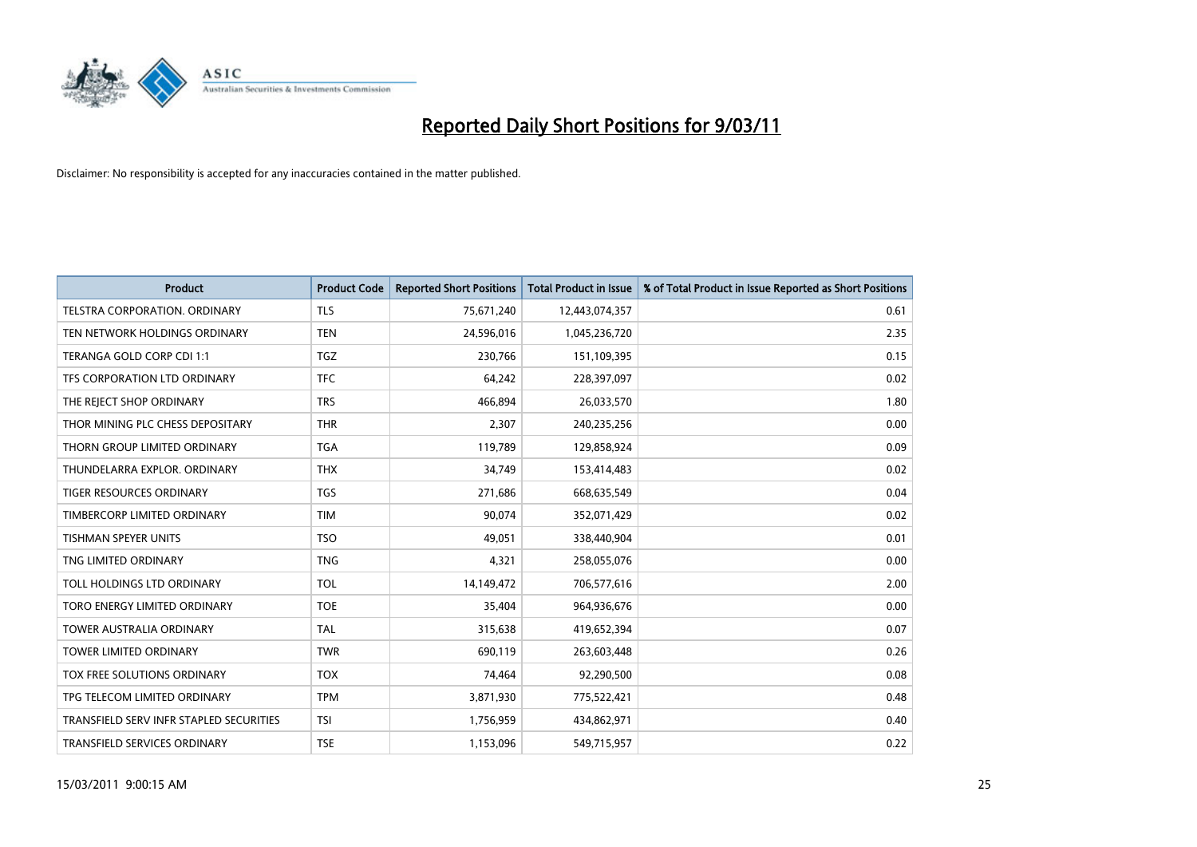

| <b>Product</b>                          | <b>Product Code</b> | <b>Reported Short Positions</b> | <b>Total Product in Issue</b> | % of Total Product in Issue Reported as Short Positions |
|-----------------------------------------|---------------------|---------------------------------|-------------------------------|---------------------------------------------------------|
| TELSTRA CORPORATION, ORDINARY           | <b>TLS</b>          | 75,671,240                      | 12,443,074,357                | 0.61                                                    |
| TEN NETWORK HOLDINGS ORDINARY           | <b>TEN</b>          | 24,596,016                      | 1,045,236,720                 | 2.35                                                    |
| TERANGA GOLD CORP CDI 1:1               | <b>TGZ</b>          | 230,766                         | 151,109,395                   | 0.15                                                    |
| TFS CORPORATION LTD ORDINARY            | <b>TFC</b>          | 64,242                          | 228,397,097                   | 0.02                                                    |
| THE REJECT SHOP ORDINARY                | <b>TRS</b>          | 466,894                         | 26,033,570                    | 1.80                                                    |
| THOR MINING PLC CHESS DEPOSITARY        | <b>THR</b>          | 2,307                           | 240,235,256                   | 0.00                                                    |
| THORN GROUP LIMITED ORDINARY            | <b>TGA</b>          | 119,789                         | 129,858,924                   | 0.09                                                    |
| THUNDELARRA EXPLOR, ORDINARY            | <b>THX</b>          | 34,749                          | 153,414,483                   | 0.02                                                    |
| TIGER RESOURCES ORDINARY                | <b>TGS</b>          | 271,686                         | 668,635,549                   | 0.04                                                    |
| TIMBERCORP LIMITED ORDINARY             | <b>TIM</b>          | 90,074                          | 352,071,429                   | 0.02                                                    |
| TISHMAN SPEYER UNITS                    | <b>TSO</b>          | 49,051                          | 338,440,904                   | 0.01                                                    |
| TNG LIMITED ORDINARY                    | <b>TNG</b>          | 4,321                           | 258,055,076                   | 0.00                                                    |
| TOLL HOLDINGS LTD ORDINARY              | <b>TOL</b>          | 14,149,472                      | 706,577,616                   | 2.00                                                    |
| TORO ENERGY LIMITED ORDINARY            | <b>TOE</b>          | 35,404                          | 964,936,676                   | 0.00                                                    |
| <b>TOWER AUSTRALIA ORDINARY</b>         | <b>TAL</b>          | 315,638                         | 419,652,394                   | 0.07                                                    |
| <b>TOWER LIMITED ORDINARY</b>           | <b>TWR</b>          | 690,119                         | 263,603,448                   | 0.26                                                    |
| <b>TOX FREE SOLUTIONS ORDINARY</b>      | <b>TOX</b>          | 74,464                          | 92,290,500                    | 0.08                                                    |
| TPG TELECOM LIMITED ORDINARY            | <b>TPM</b>          | 3,871,930                       | 775,522,421                   | 0.48                                                    |
| TRANSFIELD SERV INFR STAPLED SECURITIES | <b>TSI</b>          | 1,756,959                       | 434,862,971                   | 0.40                                                    |
| TRANSFIELD SERVICES ORDINARY            | <b>TSE</b>          | 1,153,096                       | 549,715,957                   | 0.22                                                    |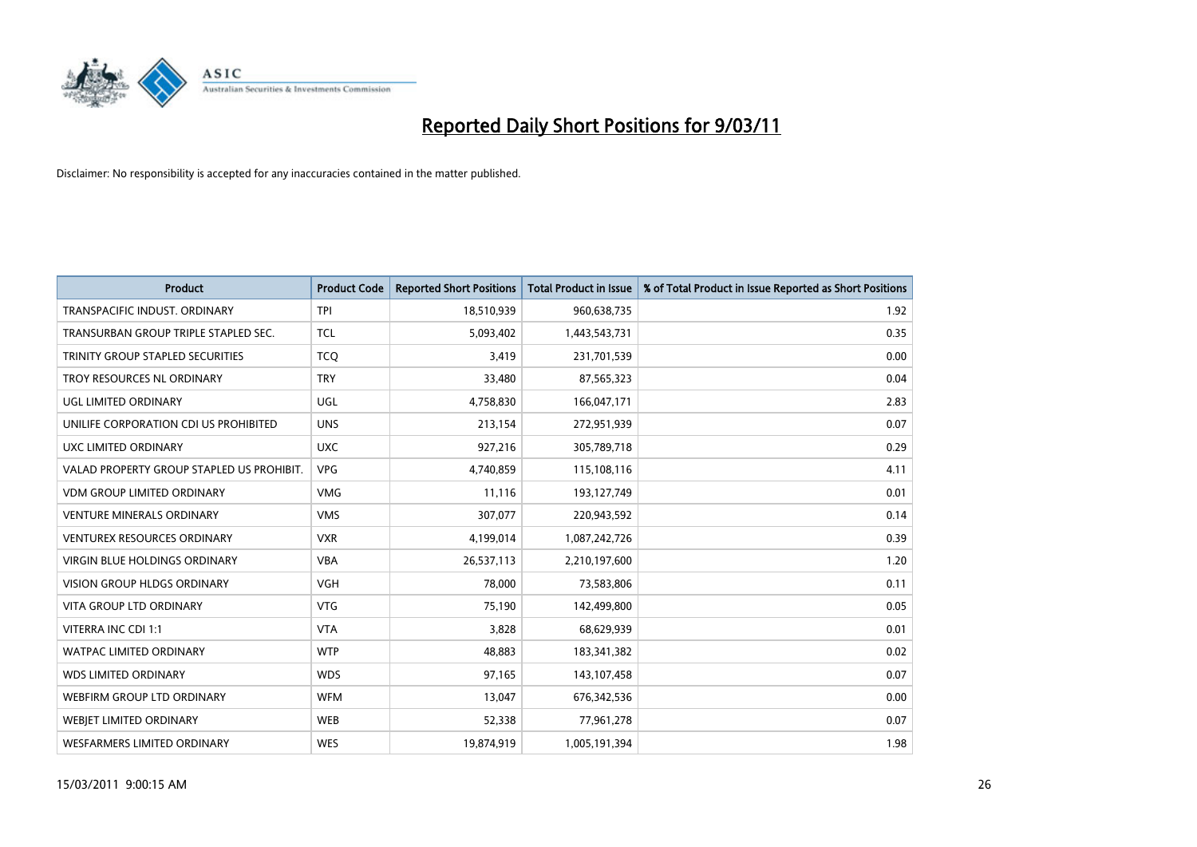

| <b>Product</b>                            | <b>Product Code</b> | <b>Reported Short Positions</b> | Total Product in Issue | % of Total Product in Issue Reported as Short Positions |
|-------------------------------------------|---------------------|---------------------------------|------------------------|---------------------------------------------------------|
| TRANSPACIFIC INDUST, ORDINARY             | <b>TPI</b>          | 18,510,939                      | 960,638,735            | 1.92                                                    |
| TRANSURBAN GROUP TRIPLE STAPLED SEC.      | <b>TCL</b>          | 5,093,402                       | 1,443,543,731          | 0.35                                                    |
| TRINITY GROUP STAPLED SECURITIES          | <b>TCQ</b>          | 3,419                           | 231,701,539            | 0.00                                                    |
| TROY RESOURCES NL ORDINARY                | <b>TRY</b>          | 33,480                          | 87,565,323             | 0.04                                                    |
| <b>UGL LIMITED ORDINARY</b>               | <b>UGL</b>          | 4,758,830                       | 166,047,171            | 2.83                                                    |
| UNILIFE CORPORATION CDI US PROHIBITED     | <b>UNS</b>          | 213,154                         | 272,951,939            | 0.07                                                    |
| UXC LIMITED ORDINARY                      | <b>UXC</b>          | 927,216                         | 305,789,718            | 0.29                                                    |
| VALAD PROPERTY GROUP STAPLED US PROHIBIT. | <b>VPG</b>          | 4,740,859                       | 115,108,116            | 4.11                                                    |
| VDM GROUP LIMITED ORDINARY                | <b>VMG</b>          | 11,116                          | 193,127,749            | 0.01                                                    |
| <b>VENTURE MINERALS ORDINARY</b>          | <b>VMS</b>          | 307,077                         | 220,943,592            | 0.14                                                    |
| <b>VENTUREX RESOURCES ORDINARY</b>        | <b>VXR</b>          | 4,199,014                       | 1,087,242,726          | 0.39                                                    |
| <b>VIRGIN BLUE HOLDINGS ORDINARY</b>      | <b>VBA</b>          | 26,537,113                      | 2,210,197,600          | 1.20                                                    |
| VISION GROUP HLDGS ORDINARY               | <b>VGH</b>          | 78,000                          | 73,583,806             | 0.11                                                    |
| <b>VITA GROUP LTD ORDINARY</b>            | <b>VTG</b>          | 75,190                          | 142,499,800            | 0.05                                                    |
| VITERRA INC CDI 1:1                       | <b>VTA</b>          | 3,828                           | 68,629,939             | 0.01                                                    |
| <b>WATPAC LIMITED ORDINARY</b>            | <b>WTP</b>          | 48,883                          | 183,341,382            | 0.02                                                    |
| <b>WDS LIMITED ORDINARY</b>               | <b>WDS</b>          | 97,165                          | 143,107,458            | 0.07                                                    |
| WEBFIRM GROUP LTD ORDINARY                | <b>WFM</b>          | 13,047                          | 676,342,536            | 0.00                                                    |
| <b>WEBIET LIMITED ORDINARY</b>            | <b>WEB</b>          | 52,338                          | 77,961,278             | 0.07                                                    |
| <b>WESFARMERS LIMITED ORDINARY</b>        | <b>WES</b>          | 19,874,919                      | 1,005,191,394          | 1.98                                                    |